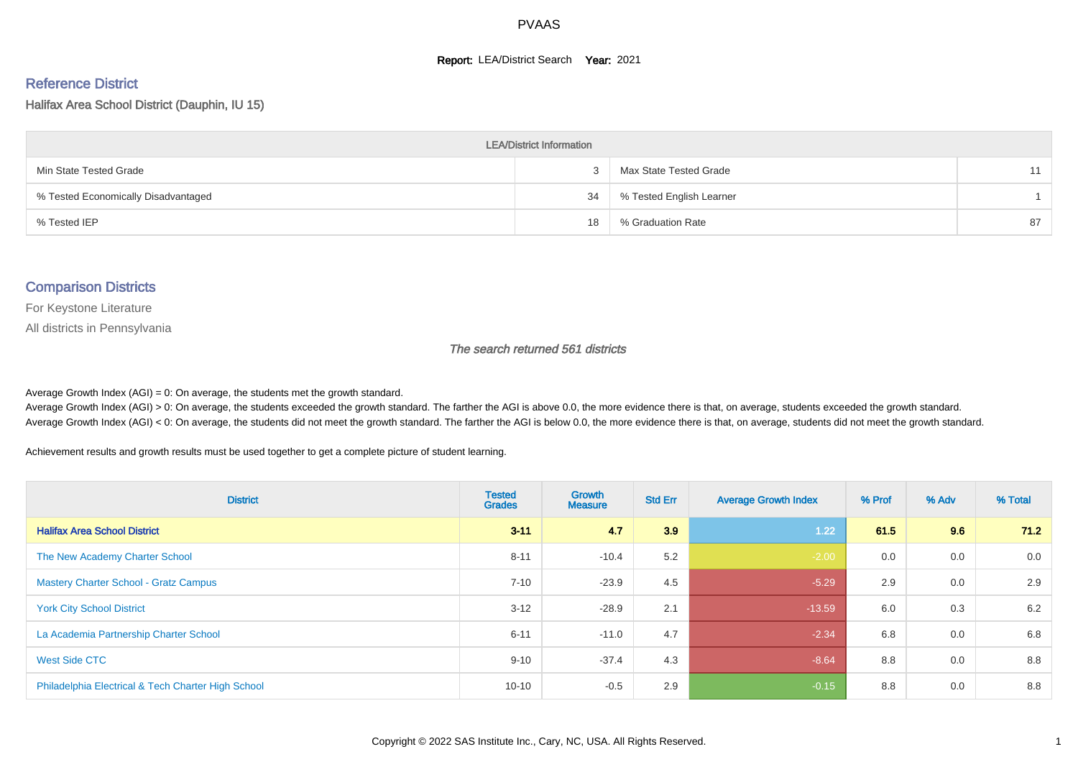#### **Report: LEA/District Search Year: 2021**

# Reference District

Halifax Area School District (Dauphin, IU 15)

| <b>LEA/District Information</b>     |    |                          |    |  |  |  |  |  |  |  |
|-------------------------------------|----|--------------------------|----|--|--|--|--|--|--|--|
| Min State Tested Grade              |    | Max State Tested Grade   | 11 |  |  |  |  |  |  |  |
| % Tested Economically Disadvantaged | 34 | % Tested English Learner |    |  |  |  |  |  |  |  |
| % Tested IEP                        | 18 | % Graduation Rate        | 87 |  |  |  |  |  |  |  |

#### Comparison Districts

For Keystone Literature

All districts in Pennsylvania

The search returned 561 districts

Average Growth Index  $(AGI) = 0$ : On average, the students met the growth standard.

Average Growth Index (AGI) > 0: On average, the students exceeded the growth standard. The farther the AGI is above 0.0, the more evidence there is that, on average, students exceeded the growth standard. Average Growth Index (AGI) < 0: On average, the students did not meet the growth standard. The farther the AGI is below 0.0, the more evidence there is that, on average, students did not meet the growth standard.

Achievement results and growth results must be used together to get a complete picture of student learning.

| <b>District</b>                                    | <b>Tested</b><br><b>Grades</b> | <b>Growth</b><br><b>Measure</b> | <b>Std Err</b> | <b>Average Growth Index</b> | % Prof | % Adv | % Total |
|----------------------------------------------------|--------------------------------|---------------------------------|----------------|-----------------------------|--------|-------|---------|
| <b>Halifax Area School District</b>                | $3 - 11$                       | 4.7                             | 3.9            | 1.22                        | 61.5   | 9.6   | 71.2    |
| The New Academy Charter School                     | $8 - 11$                       | $-10.4$                         | 5.2            | $-2.00$                     | 0.0    | 0.0   | 0.0     |
| <b>Mastery Charter School - Gratz Campus</b>       | $7 - 10$                       | $-23.9$                         | 4.5            | $-5.29$                     | 2.9    | 0.0   | 2.9     |
| <b>York City School District</b>                   | $3 - 12$                       | $-28.9$                         | 2.1            | $-13.59$                    | 6.0    | 0.3   | 6.2     |
| La Academia Partnership Charter School             | $6 - 11$                       | $-11.0$                         | 4.7            | $-2.34$                     | 6.8    | 0.0   | 6.8     |
| West Side CTC                                      | $9 - 10$                       | $-37.4$                         | 4.3            | $-8.64$                     | 8.8    | 0.0   | 8.8     |
| Philadelphia Electrical & Tech Charter High School | $10 - 10$                      | $-0.5$                          | 2.9            | $-0.15$                     | 8.8    | 0.0   | 8.8     |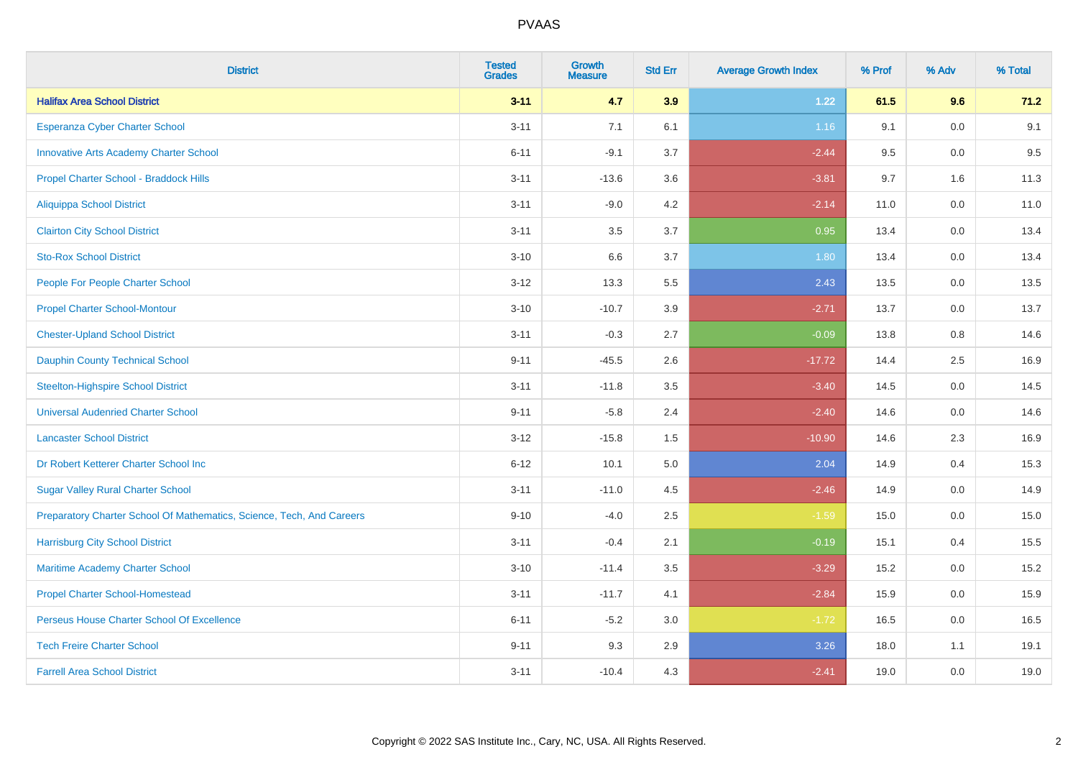| <b>District</b>                                                       | <b>Tested</b><br><b>Grades</b> | <b>Growth</b><br><b>Measure</b> | <b>Std Err</b> | <b>Average Growth Index</b> | % Prof | % Adv   | % Total |
|-----------------------------------------------------------------------|--------------------------------|---------------------------------|----------------|-----------------------------|--------|---------|---------|
| <b>Halifax Area School District</b>                                   | $3 - 11$                       | 4.7                             | 3.9            | 1.22                        | 61.5   | 9.6     | 71.2    |
| Esperanza Cyber Charter School                                        | $3 - 11$                       | 7.1                             | 6.1            | 1.16                        | 9.1    | 0.0     | 9.1     |
| <b>Innovative Arts Academy Charter School</b>                         | $6 - 11$                       | $-9.1$                          | 3.7            | $-2.44$                     | 9.5    | 0.0     | 9.5     |
| Propel Charter School - Braddock Hills                                | $3 - 11$                       | $-13.6$                         | 3.6            | $-3.81$                     | 9.7    | 1.6     | 11.3    |
| Aliquippa School District                                             | $3 - 11$                       | $-9.0$                          | 4.2            | $-2.14$                     | 11.0   | 0.0     | 11.0    |
| <b>Clairton City School District</b>                                  | $3 - 11$                       | 3.5                             | 3.7            | 0.95                        | 13.4   | 0.0     | 13.4    |
| <b>Sto-Rox School District</b>                                        | $3 - 10$                       | 6.6                             | 3.7            | 1.80                        | 13.4   | $0.0\,$ | 13.4    |
| People For People Charter School                                      | $3 - 12$                       | 13.3                            | 5.5            | 2.43                        | 13.5   | 0.0     | 13.5    |
| <b>Propel Charter School-Montour</b>                                  | $3 - 10$                       | $-10.7$                         | 3.9            | $-2.71$                     | 13.7   | 0.0     | 13.7    |
| <b>Chester-Upland School District</b>                                 | $3 - 11$                       | $-0.3$                          | 2.7            | $-0.09$                     | 13.8   | 0.8     | 14.6    |
| <b>Dauphin County Technical School</b>                                | $9 - 11$                       | $-45.5$                         | 2.6            | $-17.72$                    | 14.4   | 2.5     | 16.9    |
| <b>Steelton-Highspire School District</b>                             | $3 - 11$                       | $-11.8$                         | 3.5            | $-3.40$                     | 14.5   | 0.0     | 14.5    |
| <b>Universal Audenried Charter School</b>                             | $9 - 11$                       | $-5.8$                          | 2.4            | $-2.40$                     | 14.6   | 0.0     | 14.6    |
| <b>Lancaster School District</b>                                      | $3 - 12$                       | $-15.8$                         | 1.5            | $-10.90$                    | 14.6   | 2.3     | 16.9    |
| Dr Robert Ketterer Charter School Inc                                 | $6 - 12$                       | 10.1                            | 5.0            | 2.04                        | 14.9   | 0.4     | 15.3    |
| <b>Sugar Valley Rural Charter School</b>                              | $3 - 11$                       | $-11.0$                         | 4.5            | $-2.46$                     | 14.9   | 0.0     | 14.9    |
| Preparatory Charter School Of Mathematics, Science, Tech, And Careers | $9 - 10$                       | $-4.0$                          | 2.5            | $-1.59$                     | 15.0   | 0.0     | 15.0    |
| <b>Harrisburg City School District</b>                                | $3 - 11$                       | $-0.4$                          | 2.1            | $-0.19$                     | 15.1   | 0.4     | 15.5    |
| Maritime Academy Charter School                                       | $3 - 10$                       | $-11.4$                         | 3.5            | $-3.29$                     | 15.2   | 0.0     | 15.2    |
| <b>Propel Charter School-Homestead</b>                                | $3 - 11$                       | $-11.7$                         | 4.1            | $-2.84$                     | 15.9   | 0.0     | 15.9    |
| Perseus House Charter School Of Excellence                            | $6 - 11$                       | $-5.2$                          | 3.0            | $-1.72$                     | 16.5   | 0.0     | 16.5    |
| <b>Tech Freire Charter School</b>                                     | $9 - 11$                       | 9.3                             | 2.9            | 3.26                        | 18.0   | 1.1     | 19.1    |
| <b>Farrell Area School District</b>                                   | $3 - 11$                       | $-10.4$                         | 4.3            | $-2.41$                     | 19.0   | 0.0     | 19.0    |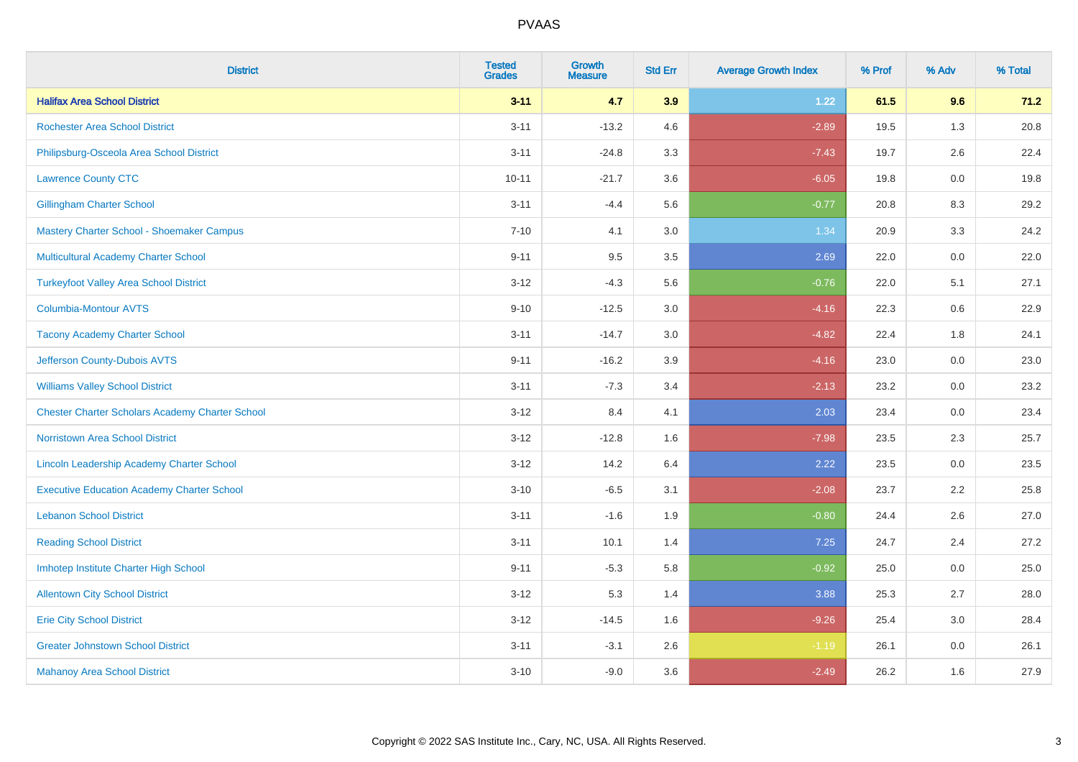| <b>District</b>                                        | <b>Tested</b><br><b>Grades</b> | Growth<br><b>Measure</b> | <b>Std Err</b> | <b>Average Growth Index</b> | % Prof | % Adv   | % Total |
|--------------------------------------------------------|--------------------------------|--------------------------|----------------|-----------------------------|--------|---------|---------|
| <b>Halifax Area School District</b>                    | $3 - 11$                       | 4.7                      | 3.9            | 1.22                        | 61.5   | 9.6     | 71.2    |
| <b>Rochester Area School District</b>                  | $3 - 11$                       | $-13.2$                  | 4.6            | $-2.89$                     | 19.5   | 1.3     | 20.8    |
| Philipsburg-Osceola Area School District               | $3 - 11$                       | $-24.8$                  | 3.3            | $-7.43$                     | 19.7   | 2.6     | 22.4    |
| <b>Lawrence County CTC</b>                             | $10 - 11$                      | $-21.7$                  | 3.6            | $-6.05$                     | 19.8   | 0.0     | 19.8    |
| <b>Gillingham Charter School</b>                       | $3 - 11$                       | $-4.4$                   | 5.6            | $-0.77$                     | 20.8   | 8.3     | 29.2    |
| Mastery Charter School - Shoemaker Campus              | $7 - 10$                       | 4.1                      | 3.0            | 1.34                        | 20.9   | 3.3     | 24.2    |
| Multicultural Academy Charter School                   | $9 - 11$                       | 9.5                      | $3.5\,$        | 2.69                        | 22.0   | $0.0\,$ | 22.0    |
| <b>Turkeyfoot Valley Area School District</b>          | $3 - 12$                       | $-4.3$                   | 5.6            | $-0.76$                     | 22.0   | 5.1     | 27.1    |
| <b>Columbia-Montour AVTS</b>                           | $9 - 10$                       | $-12.5$                  | 3.0            | $-4.16$                     | 22.3   | 0.6     | 22.9    |
| <b>Tacony Academy Charter School</b>                   | $3 - 11$                       | $-14.7$                  | 3.0            | $-4.82$                     | 22.4   | 1.8     | 24.1    |
| Jefferson County-Dubois AVTS                           | $9 - 11$                       | $-16.2$                  | 3.9            | $-4.16$                     | 23.0   | 0.0     | 23.0    |
| <b>Williams Valley School District</b>                 | $3 - 11$                       | $-7.3$                   | 3.4            | $-2.13$                     | 23.2   | 0.0     | 23.2    |
| <b>Chester Charter Scholars Academy Charter School</b> | $3 - 12$                       | 8.4                      | 4.1            | 2.03                        | 23.4   | 0.0     | 23.4    |
| <b>Norristown Area School District</b>                 | $3 - 12$                       | $-12.8$                  | 1.6            | $-7.98$                     | 23.5   | 2.3     | 25.7    |
| Lincoln Leadership Academy Charter School              | $3 - 12$                       | 14.2                     | 6.4            | 2.22                        | 23.5   | 0.0     | 23.5    |
| <b>Executive Education Academy Charter School</b>      | $3 - 10$                       | $-6.5$                   | 3.1            | $-2.08$                     | 23.7   | 2.2     | 25.8    |
| <b>Lebanon School District</b>                         | $3 - 11$                       | $-1.6$                   | 1.9            | $-0.80$                     | 24.4   | 2.6     | 27.0    |
| <b>Reading School District</b>                         | $3 - 11$                       | 10.1                     | 1.4            | 7.25                        | 24.7   | 2.4     | 27.2    |
| Imhotep Institute Charter High School                  | $9 - 11$                       | $-5.3$                   | 5.8            | $-0.92$                     | 25.0   | 0.0     | 25.0    |
| <b>Allentown City School District</b>                  | $3 - 12$                       | 5.3                      | 1.4            | 3.88                        | 25.3   | 2.7     | 28.0    |
| <b>Erie City School District</b>                       | $3 - 12$                       | $-14.5$                  | 1.6            | $-9.26$                     | 25.4   | 3.0     | 28.4    |
| <b>Greater Johnstown School District</b>               | $3 - 11$                       | $-3.1$                   | 2.6            | $-1.19$                     | 26.1   | 0.0     | 26.1    |
| <b>Mahanoy Area School District</b>                    | $3 - 10$                       | $-9.0$                   | 3.6            | $-2.49$                     | 26.2   | 1.6     | 27.9    |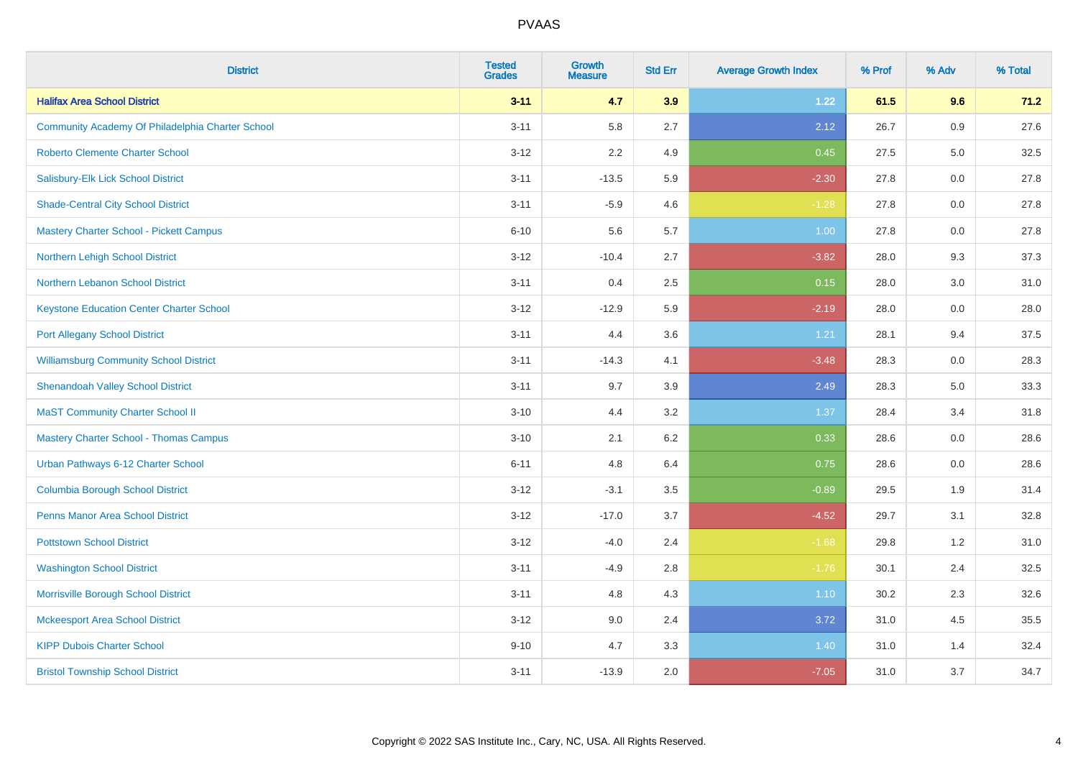| <b>District</b>                                  | <b>Tested</b><br><b>Grades</b> | <b>Growth</b><br><b>Measure</b> | <b>Std Err</b> | <b>Average Growth Index</b> | % Prof | % Adv   | % Total |
|--------------------------------------------------|--------------------------------|---------------------------------|----------------|-----------------------------|--------|---------|---------|
| <b>Halifax Area School District</b>              | $3 - 11$                       | 4.7                             | 3.9            | 1.22                        | 61.5   | 9.6     | 71.2    |
| Community Academy Of Philadelphia Charter School | $3 - 11$                       | 5.8                             | 2.7            | 2.12                        | 26.7   | 0.9     | 27.6    |
| <b>Roberto Clemente Charter School</b>           | $3 - 12$                       | 2.2                             | 4.9            | 0.45                        | 27.5   | $5.0\,$ | 32.5    |
| Salisbury-Elk Lick School District               | $3 - 11$                       | $-13.5$                         | 5.9            | $-2.30$                     | 27.8   | 0.0     | 27.8    |
| <b>Shade-Central City School District</b>        | $3 - 11$                       | $-5.9$                          | 4.6            | $-1.28$                     | 27.8   | 0.0     | 27.8    |
| <b>Mastery Charter School - Pickett Campus</b>   | $6 - 10$                       | 5.6                             | 5.7            | 1.00                        | 27.8   | 0.0     | 27.8    |
| <b>Northern Lehigh School District</b>           | $3 - 12$                       | $-10.4$                         | 2.7            | $-3.82$                     | 28.0   | 9.3     | 37.3    |
| <b>Northern Lebanon School District</b>          | $3 - 11$                       | 0.4                             | 2.5            | 0.15                        | 28.0   | 3.0     | 31.0    |
| <b>Keystone Education Center Charter School</b>  | $3 - 12$                       | $-12.9$                         | 5.9            | $-2.19$                     | 28.0   | 0.0     | 28.0    |
| <b>Port Allegany School District</b>             | $3 - 11$                       | 4.4                             | 3.6            | 1.21                        | 28.1   | 9.4     | 37.5    |
| <b>Williamsburg Community School District</b>    | $3 - 11$                       | $-14.3$                         | 4.1            | $-3.48$                     | 28.3   | 0.0     | 28.3    |
| <b>Shenandoah Valley School District</b>         | $3 - 11$                       | 9.7                             | 3.9            | 2.49                        | 28.3   | 5.0     | 33.3    |
| <b>MaST Community Charter School II</b>          | $3 - 10$                       | 4.4                             | 3.2            | 1.37                        | 28.4   | 3.4     | 31.8    |
| <b>Mastery Charter School - Thomas Campus</b>    | $3 - 10$                       | 2.1                             | $6.2\,$        | 0.33                        | 28.6   | 0.0     | 28.6    |
| Urban Pathways 6-12 Charter School               | $6 - 11$                       | 4.8                             | 6.4            | 0.75                        | 28.6   | 0.0     | 28.6    |
| <b>Columbia Borough School District</b>          | $3 - 12$                       | $-3.1$                          | 3.5            | $-0.89$                     | 29.5   | 1.9     | 31.4    |
| <b>Penns Manor Area School District</b>          | $3 - 12$                       | $-17.0$                         | 3.7            | $-4.52$                     | 29.7   | 3.1     | 32.8    |
| <b>Pottstown School District</b>                 | $3 - 12$                       | $-4.0$                          | 2.4            | $-1.68$                     | 29.8   | 1.2     | 31.0    |
| <b>Washington School District</b>                | $3 - 11$                       | $-4.9$                          | 2.8            | $-1.76$                     | 30.1   | 2.4     | 32.5    |
| Morrisville Borough School District              | $3 - 11$                       | 4.8                             | 4.3            | 1.10                        | 30.2   | 2.3     | 32.6    |
| <b>Mckeesport Area School District</b>           | $3 - 12$                       | 9.0                             | 2.4            | 3.72                        | 31.0   | 4.5     | 35.5    |
| <b>KIPP Dubois Charter School</b>                | $9 - 10$                       | 4.7                             | 3.3            | 1.40                        | 31.0   | 1.4     | 32.4    |
| <b>Bristol Township School District</b>          | $3 - 11$                       | $-13.9$                         | 2.0            | $-7.05$                     | 31.0   | 3.7     | 34.7    |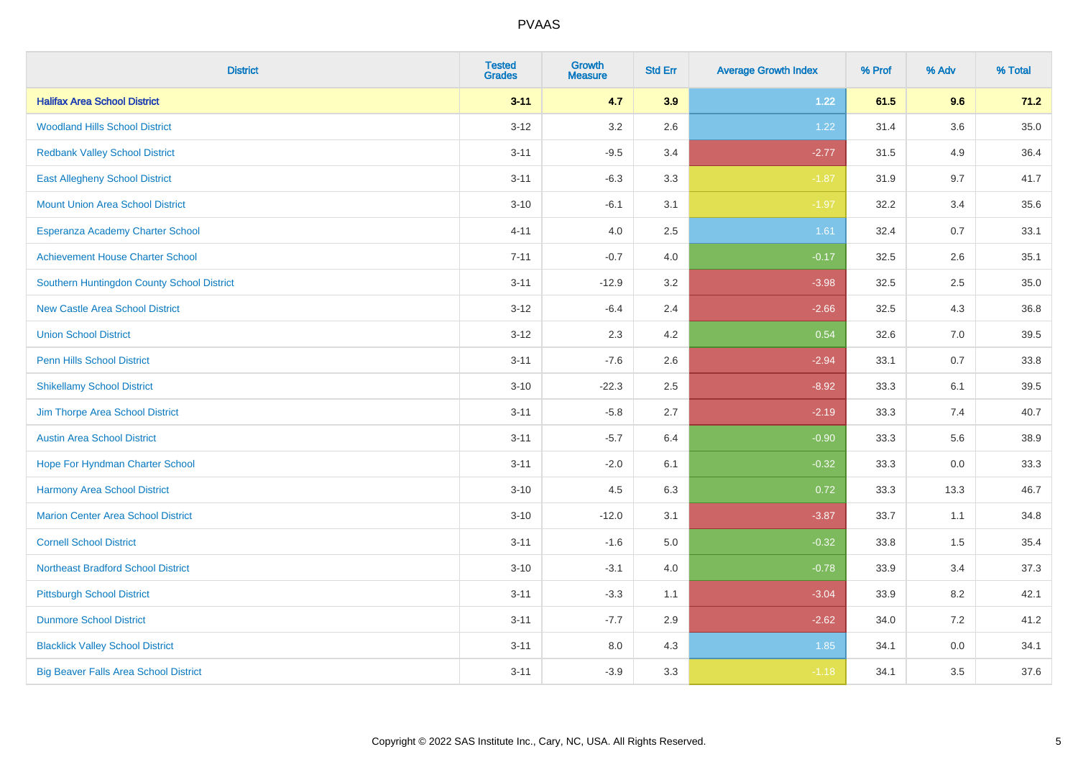| <b>District</b>                              | <b>Tested</b><br><b>Grades</b> | <b>Growth</b><br><b>Measure</b> | <b>Std Err</b> | <b>Average Growth Index</b> | % Prof | % Adv   | % Total |
|----------------------------------------------|--------------------------------|---------------------------------|----------------|-----------------------------|--------|---------|---------|
| <b>Halifax Area School District</b>          | $3 - 11$                       | 4.7                             | 3.9            | 1.22                        | 61.5   | 9.6     | 71.2    |
| <b>Woodland Hills School District</b>        | $3 - 12$                       | 3.2                             | 2.6            | 1.22                        | 31.4   | $3.6\,$ | 35.0    |
| <b>Redbank Valley School District</b>        | $3 - 11$                       | $-9.5$                          | 3.4            | $-2.77$                     | 31.5   | 4.9     | 36.4    |
| <b>East Allegheny School District</b>        | $3 - 11$                       | $-6.3$                          | 3.3            | $-1.87$                     | 31.9   | 9.7     | 41.7    |
| <b>Mount Union Area School District</b>      | $3 - 10$                       | $-6.1$                          | 3.1            | $-1.97$                     | 32.2   | 3.4     | 35.6    |
| Esperanza Academy Charter School             | $4 - 11$                       | 4.0                             | 2.5            | 1.61                        | 32.4   | 0.7     | 33.1    |
| <b>Achievement House Charter School</b>      | $7 - 11$                       | $-0.7$                          | 4.0            | $-0.17$                     | 32.5   | 2.6     | 35.1    |
| Southern Huntingdon County School District   | $3 - 11$                       | $-12.9$                         | 3.2            | $-3.98$                     | 32.5   | 2.5     | 35.0    |
| <b>New Castle Area School District</b>       | $3 - 12$                       | $-6.4$                          | 2.4            | $-2.66$                     | 32.5   | 4.3     | 36.8    |
| <b>Union School District</b>                 | $3 - 12$                       | 2.3                             | 4.2            | 0.54                        | 32.6   | 7.0     | 39.5    |
| <b>Penn Hills School District</b>            | $3 - 11$                       | $-7.6$                          | 2.6            | $-2.94$                     | 33.1   | 0.7     | 33.8    |
| <b>Shikellamy School District</b>            | $3 - 10$                       | $-22.3$                         | 2.5            | $-8.92$                     | 33.3   | 6.1     | 39.5    |
| Jim Thorpe Area School District              | $3 - 11$                       | $-5.8$                          | 2.7            | $-2.19$                     | 33.3   | 7.4     | 40.7    |
| <b>Austin Area School District</b>           | $3 - 11$                       | $-5.7$                          | 6.4            | $-0.90$                     | 33.3   | 5.6     | 38.9    |
| Hope For Hyndman Charter School              | $3 - 11$                       | $-2.0$                          | 6.1            | $-0.32$                     | 33.3   | 0.0     | 33.3    |
| Harmony Area School District                 | $3 - 10$                       | 4.5                             | 6.3            | 0.72                        | 33.3   | 13.3    | 46.7    |
| <b>Marion Center Area School District</b>    | $3 - 10$                       | $-12.0$                         | 3.1            | $-3.87$                     | 33.7   | 1.1     | 34.8    |
| <b>Cornell School District</b>               | $3 - 11$                       | $-1.6$                          | 5.0            | $-0.32$                     | 33.8   | 1.5     | 35.4    |
| <b>Northeast Bradford School District</b>    | $3 - 10$                       | $-3.1$                          | 4.0            | $-0.78$                     | 33.9   | 3.4     | 37.3    |
| <b>Pittsburgh School District</b>            | $3 - 11$                       | $-3.3$                          | 1.1            | $-3.04$                     | 33.9   | 8.2     | 42.1    |
| <b>Dunmore School District</b>               | $3 - 11$                       | $-7.7$                          | 2.9            | $-2.62$                     | 34.0   | 7.2     | 41.2    |
| <b>Blacklick Valley School District</b>      | $3 - 11$                       | 8.0                             | 4.3            | 1.85                        | 34.1   | 0.0     | 34.1    |
| <b>Big Beaver Falls Area School District</b> | $3 - 11$                       | $-3.9$                          | 3.3            | $-1.18$                     | 34.1   | 3.5     | 37.6    |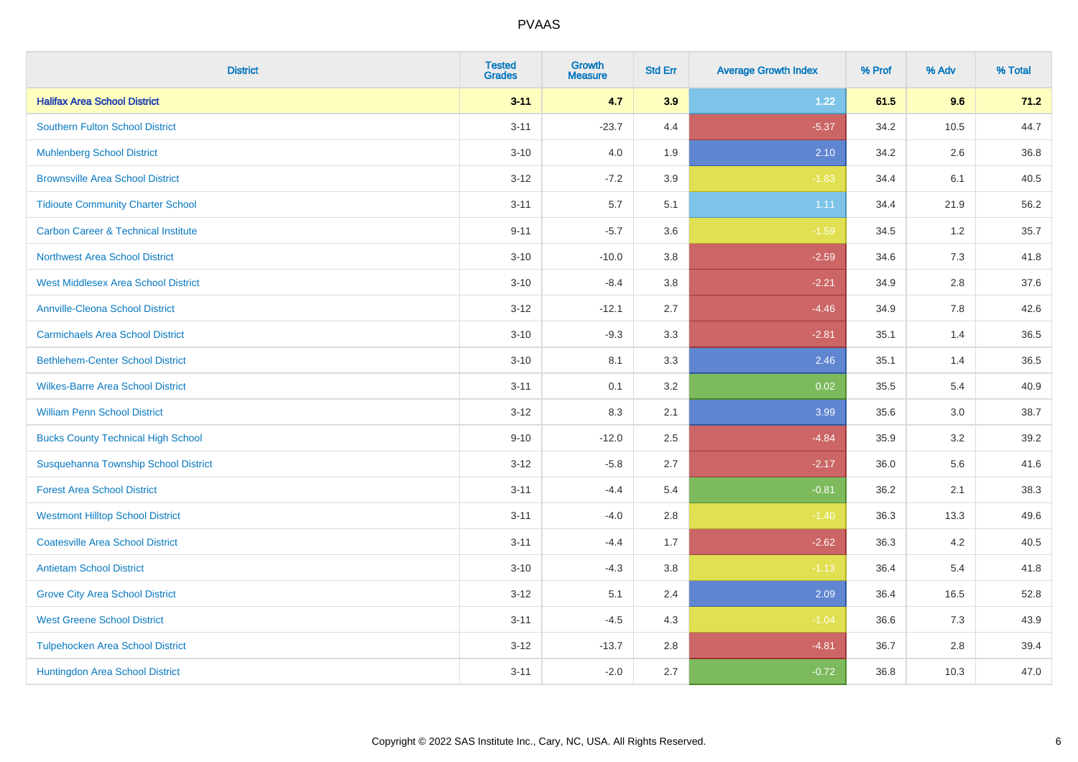| <b>District</b>                                | <b>Tested</b><br><b>Grades</b> | <b>Growth</b><br><b>Measure</b> | <b>Std Err</b> | <b>Average Growth Index</b> | % Prof | % Adv | % Total |
|------------------------------------------------|--------------------------------|---------------------------------|----------------|-----------------------------|--------|-------|---------|
| <b>Halifax Area School District</b>            | $3 - 11$                       | 4.7                             | 3.9            | 1.22                        | 61.5   | 9.6   | 71.2    |
| <b>Southern Fulton School District</b>         | $3 - 11$                       | $-23.7$                         | 4.4            | $-5.37$                     | 34.2   | 10.5  | 44.7    |
| <b>Muhlenberg School District</b>              | $3 - 10$                       | 4.0                             | 1.9            | 2.10                        | 34.2   | 2.6   | 36.8    |
| <b>Brownsville Area School District</b>        | $3 - 12$                       | $-7.2$                          | 3.9            | $-1.83$                     | 34.4   | 6.1   | 40.5    |
| <b>Tidioute Community Charter School</b>       | $3 - 11$                       | 5.7                             | 5.1            | 1.11                        | 34.4   | 21.9  | 56.2    |
| <b>Carbon Career &amp; Technical Institute</b> | $9 - 11$                       | $-5.7$                          | 3.6            | $-1.59$                     | 34.5   | 1.2   | 35.7    |
| <b>Northwest Area School District</b>          | $3 - 10$                       | $-10.0$                         | 3.8            | $-2.59$                     | 34.6   | 7.3   | 41.8    |
| <b>West Middlesex Area School District</b>     | $3 - 10$                       | $-8.4$                          | 3.8            | $-2.21$                     | 34.9   | 2.8   | 37.6    |
| <b>Annville-Cleona School District</b>         | $3 - 12$                       | $-12.1$                         | 2.7            | $-4.46$                     | 34.9   | 7.8   | 42.6    |
| <b>Carmichaels Area School District</b>        | $3 - 10$                       | $-9.3$                          | 3.3            | $-2.81$                     | 35.1   | 1.4   | 36.5    |
| <b>Bethlehem-Center School District</b>        | $3 - 10$                       | 8.1                             | 3.3            | 2.46                        | 35.1   | 1.4   | 36.5    |
| <b>Wilkes-Barre Area School District</b>       | $3 - 11$                       | 0.1                             | 3.2            | 0.02                        | 35.5   | 5.4   | 40.9    |
| <b>William Penn School District</b>            | $3 - 12$                       | 8.3                             | 2.1            | 3.99                        | 35.6   | 3.0   | 38.7    |
| <b>Bucks County Technical High School</b>      | $9 - 10$                       | $-12.0$                         | 2.5            | $-4.84$                     | 35.9   | 3.2   | 39.2    |
| Susquehanna Township School District           | $3 - 12$                       | $-5.8$                          | 2.7            | $-2.17$                     | 36.0   | 5.6   | 41.6    |
| <b>Forest Area School District</b>             | $3 - 11$                       | $-4.4$                          | 5.4            | $-0.81$                     | 36.2   | 2.1   | 38.3    |
| <b>Westmont Hilltop School District</b>        | $3 - 11$                       | $-4.0$                          | 2.8            | $-1.40$                     | 36.3   | 13.3  | 49.6    |
| <b>Coatesville Area School District</b>        | $3 - 11$                       | $-4.4$                          | 1.7            | $-2.62$                     | 36.3   | 4.2   | 40.5    |
| <b>Antietam School District</b>                | $3 - 10$                       | $-4.3$                          | 3.8            | $-1.13$                     | 36.4   | 5.4   | 41.8    |
| <b>Grove City Area School District</b>         | $3-12$                         | 5.1                             | 2.4            | 2.09                        | 36.4   | 16.5  | 52.8    |
| <b>West Greene School District</b>             | $3 - 11$                       | $-4.5$                          | 4.3            | $-1.04$                     | 36.6   | 7.3   | 43.9    |
| <b>Tulpehocken Area School District</b>        | $3 - 12$                       | $-13.7$                         | 2.8            | $-4.81$                     | 36.7   | 2.8   | 39.4    |
| Huntingdon Area School District                | $3 - 11$                       | $-2.0$                          | 2.7            | $-0.72$                     | 36.8   | 10.3  | 47.0    |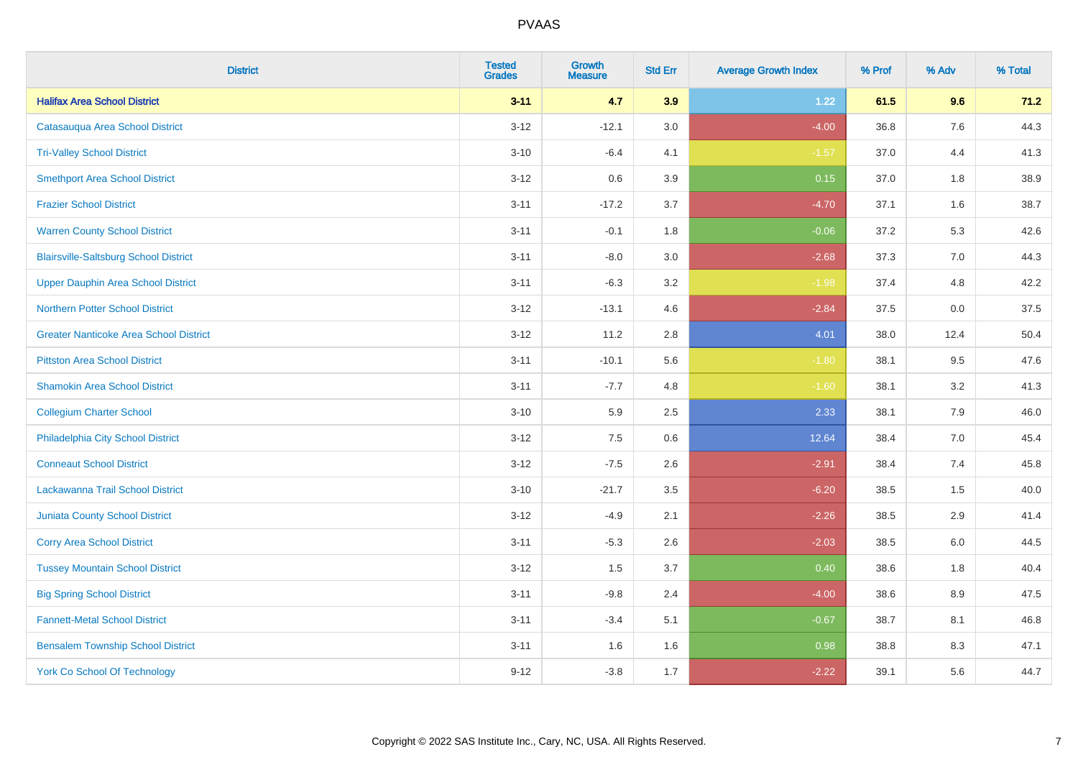| <b>District</b>                               | <b>Tested</b><br><b>Grades</b> | <b>Growth</b><br><b>Measure</b> | <b>Std Err</b> | <b>Average Growth Index</b> | % Prof | % Adv | % Total |
|-----------------------------------------------|--------------------------------|---------------------------------|----------------|-----------------------------|--------|-------|---------|
| <b>Halifax Area School District</b>           | $3 - 11$                       | 4.7                             | 3.9            | 1.22                        | 61.5   | 9.6   | 71.2    |
| Catasauqua Area School District               | $3 - 12$                       | $-12.1$                         | 3.0            | $-4.00$                     | 36.8   | 7.6   | 44.3    |
| <b>Tri-Valley School District</b>             | $3 - 10$                       | $-6.4$                          | 4.1            | $-1.57$                     | 37.0   | 4.4   | 41.3    |
| <b>Smethport Area School District</b>         | $3 - 12$                       | 0.6                             | 3.9            | 0.15                        | 37.0   | 1.8   | 38.9    |
| <b>Frazier School District</b>                | $3 - 11$                       | $-17.2$                         | 3.7            | $-4.70$                     | 37.1   | 1.6   | 38.7    |
| <b>Warren County School District</b>          | $3 - 11$                       | $-0.1$                          | 1.8            | $-0.06$                     | 37.2   | 5.3   | 42.6    |
| <b>Blairsville-Saltsburg School District</b>  | $3 - 11$                       | $-8.0$                          | 3.0            | $-2.68$                     | 37.3   | 7.0   | 44.3    |
| <b>Upper Dauphin Area School District</b>     | $3 - 11$                       | $-6.3$                          | 3.2            | $-1.98$                     | 37.4   | 4.8   | 42.2    |
| <b>Northern Potter School District</b>        | $3 - 12$                       | $-13.1$                         | 4.6            | $-2.84$                     | 37.5   | 0.0   | 37.5    |
| <b>Greater Nanticoke Area School District</b> | $3 - 12$                       | 11.2                            | 2.8            | 4.01                        | 38.0   | 12.4  | 50.4    |
| <b>Pittston Area School District</b>          | $3 - 11$                       | $-10.1$                         | 5.6            | $-1.80$                     | 38.1   | 9.5   | 47.6    |
| <b>Shamokin Area School District</b>          | $3 - 11$                       | $-7.7$                          | 4.8            | $-1.60$                     | 38.1   | 3.2   | 41.3    |
| <b>Collegium Charter School</b>               | $3 - 10$                       | 5.9                             | 2.5            | 2.33                        | 38.1   | $7.9$ | 46.0    |
| Philadelphia City School District             | $3 - 12$                       | 7.5                             | 0.6            | 12.64                       | 38.4   | 7.0   | 45.4    |
| <b>Conneaut School District</b>               | $3 - 12$                       | $-7.5$                          | 2.6            | $-2.91$                     | 38.4   | 7.4   | 45.8    |
| Lackawanna Trail School District              | $3 - 10$                       | $-21.7$                         | 3.5            | $-6.20$                     | 38.5   | 1.5   | 40.0    |
| <b>Juniata County School District</b>         | $3 - 12$                       | $-4.9$                          | 2.1            | $-2.26$                     | 38.5   | 2.9   | 41.4    |
| <b>Corry Area School District</b>             | $3 - 11$                       | $-5.3$                          | 2.6            | $-2.03$                     | 38.5   | 6.0   | 44.5    |
| <b>Tussey Mountain School District</b>        | $3 - 12$                       | 1.5                             | 3.7            | 0.40                        | 38.6   | 1.8   | 40.4    |
| <b>Big Spring School District</b>             | $3 - 11$                       | $-9.8$                          | 2.4            | $-4.00$                     | 38.6   | 8.9   | 47.5    |
| <b>Fannett-Metal School District</b>          | $3 - 11$                       | $-3.4$                          | 5.1            | $-0.67$                     | 38.7   | 8.1   | 46.8    |
| <b>Bensalem Township School District</b>      | $3 - 11$                       | 1.6                             | 1.6            | 0.98                        | 38.8   | 8.3   | 47.1    |
| <b>York Co School Of Technology</b>           | $9 - 12$                       | $-3.8$                          | 1.7            | $-2.22$                     | 39.1   | 5.6   | 44.7    |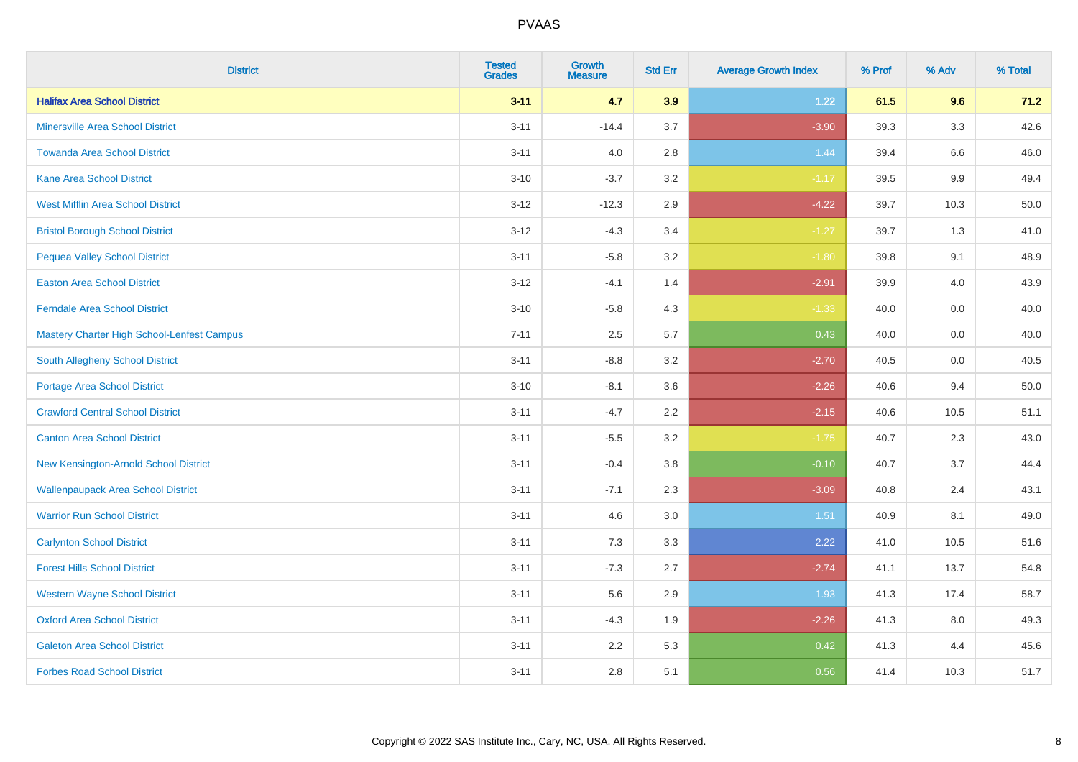| <b>District</b>                            | <b>Tested</b><br><b>Grades</b> | Growth<br><b>Measure</b> | <b>Std Err</b> | <b>Average Growth Index</b> | % Prof | % Adv | % Total |
|--------------------------------------------|--------------------------------|--------------------------|----------------|-----------------------------|--------|-------|---------|
| <b>Halifax Area School District</b>        | $3 - 11$                       | 4.7                      | 3.9            | 1.22                        | 61.5   | 9.6   | 71.2    |
| <b>Minersville Area School District</b>    | $3 - 11$                       | $-14.4$                  | 3.7            | $-3.90$                     | 39.3   | 3.3   | 42.6    |
| <b>Towanda Area School District</b>        | $3 - 11$                       | 4.0                      | 2.8            | 1.44                        | 39.4   | 6.6   | 46.0    |
| <b>Kane Area School District</b>           | $3 - 10$                       | $-3.7$                   | 3.2            | $-1.17$                     | 39.5   | 9.9   | 49.4    |
| <b>West Mifflin Area School District</b>   | $3 - 12$                       | $-12.3$                  | 2.9            | $-4.22$                     | 39.7   | 10.3  | 50.0    |
| <b>Bristol Borough School District</b>     | $3 - 12$                       | $-4.3$                   | 3.4            | $-1.27$                     | 39.7   | 1.3   | 41.0    |
| <b>Pequea Valley School District</b>       | $3 - 11$                       | $-5.8$                   | 3.2            | $-1.80$                     | 39.8   | 9.1   | 48.9    |
| <b>Easton Area School District</b>         | $3 - 12$                       | $-4.1$                   | 1.4            | $-2.91$                     | 39.9   | 4.0   | 43.9    |
| <b>Ferndale Area School District</b>       | $3 - 10$                       | $-5.8$                   | 4.3            | $-1.33$                     | 40.0   | 0.0   | 40.0    |
| Mastery Charter High School-Lenfest Campus | $7 - 11$                       | 2.5                      | 5.7            | 0.43                        | 40.0   | 0.0   | 40.0    |
| <b>South Allegheny School District</b>     | $3 - 11$                       | $-8.8$                   | 3.2            | $-2.70$                     | 40.5   | 0.0   | 40.5    |
| <b>Portage Area School District</b>        | $3 - 10$                       | $-8.1$                   | 3.6            | $-2.26$                     | 40.6   | 9.4   | 50.0    |
| <b>Crawford Central School District</b>    | $3 - 11$                       | $-4.7$                   | 2.2            | $-2.15$                     | 40.6   | 10.5  | 51.1    |
| <b>Canton Area School District</b>         | $3 - 11$                       | $-5.5$                   | 3.2            | $-1.75$                     | 40.7   | 2.3   | 43.0    |
| New Kensington-Arnold School District      | $3 - 11$                       | $-0.4$                   | 3.8            | $-0.10$                     | 40.7   | 3.7   | 44.4    |
| <b>Wallenpaupack Area School District</b>  | $3 - 11$                       | $-7.1$                   | 2.3            | $-3.09$                     | 40.8   | 2.4   | 43.1    |
| <b>Warrior Run School District</b>         | $3 - 11$                       | 4.6                      | 3.0            | 1.51                        | 40.9   | 8.1   | 49.0    |
| <b>Carlynton School District</b>           | $3 - 11$                       | 7.3                      | 3.3            | 2.22                        | 41.0   | 10.5  | 51.6    |
| <b>Forest Hills School District</b>        | $3 - 11$                       | $-7.3$                   | 2.7            | $-2.74$                     | 41.1   | 13.7  | 54.8    |
| <b>Western Wayne School District</b>       | $3 - 11$                       | 5.6                      | 2.9            | 1.93                        | 41.3   | 17.4  | 58.7    |
| <b>Oxford Area School District</b>         | $3 - 11$                       | $-4.3$                   | 1.9            | $-2.26$                     | 41.3   | 8.0   | 49.3    |
| <b>Galeton Area School District</b>        | $3 - 11$                       | 2.2                      | 5.3            | 0.42                        | 41.3   | 4.4   | 45.6    |
| <b>Forbes Road School District</b>         | $3 - 11$                       | 2.8                      | 5.1            | 0.56                        | 41.4   | 10.3  | 51.7    |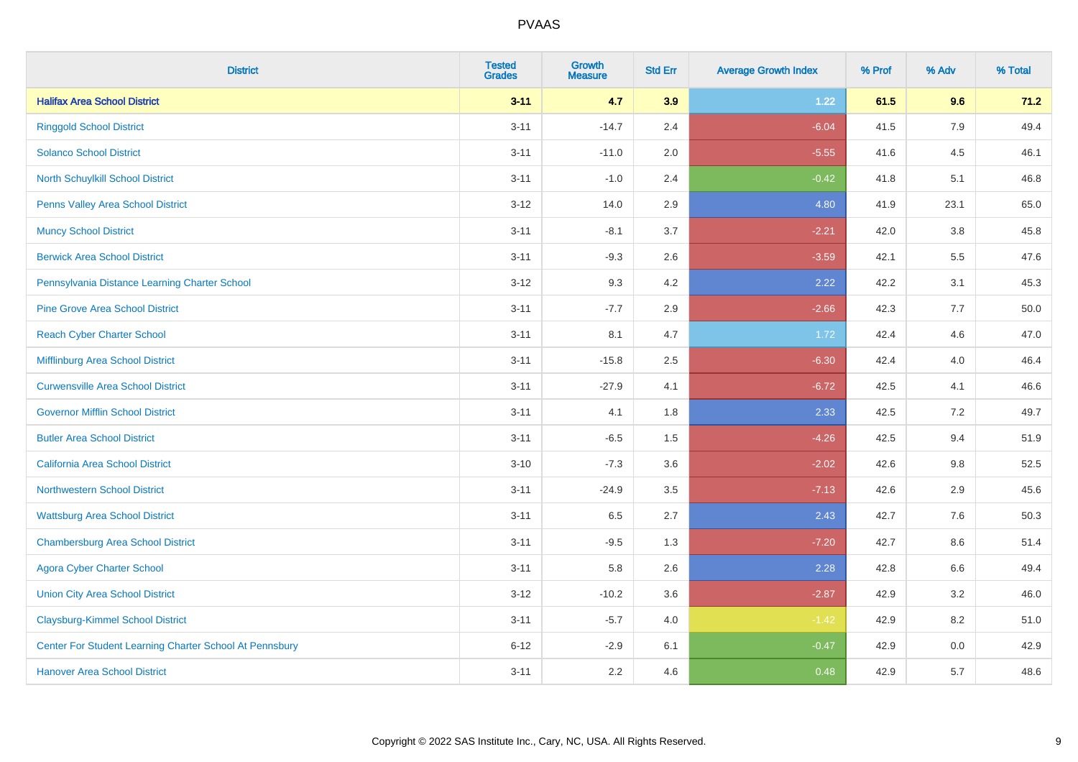| <b>District</b>                                         | <b>Tested</b><br><b>Grades</b> | <b>Growth</b><br><b>Measure</b> | <b>Std Err</b> | <b>Average Growth Index</b> | % Prof | % Adv | % Total |
|---------------------------------------------------------|--------------------------------|---------------------------------|----------------|-----------------------------|--------|-------|---------|
| <b>Halifax Area School District</b>                     | $3 - 11$                       | 4.7                             | 3.9            | 1.22                        | 61.5   | 9.6   | 71.2    |
| <b>Ringgold School District</b>                         | $3 - 11$                       | $-14.7$                         | 2.4            | $-6.04$                     | 41.5   | 7.9   | 49.4    |
| <b>Solanco School District</b>                          | $3 - 11$                       | $-11.0$                         | 2.0            | $-5.55$                     | 41.6   | 4.5   | 46.1    |
| North Schuylkill School District                        | $3 - 11$                       | $-1.0$                          | 2.4            | $-0.42$                     | 41.8   | 5.1   | 46.8    |
| <b>Penns Valley Area School District</b>                | $3 - 12$                       | 14.0                            | 2.9            | 4.80                        | 41.9   | 23.1  | 65.0    |
| <b>Muncy School District</b>                            | $3 - 11$                       | $-8.1$                          | 3.7            | $-2.21$                     | 42.0   | 3.8   | 45.8    |
| <b>Berwick Area School District</b>                     | $3 - 11$                       | $-9.3$                          | 2.6            | $-3.59$                     | 42.1   | 5.5   | 47.6    |
| Pennsylvania Distance Learning Charter School           | $3 - 12$                       | 9.3                             | 4.2            | 2.22                        | 42.2   | 3.1   | 45.3    |
| <b>Pine Grove Area School District</b>                  | $3 - 11$                       | $-7.7$                          | 2.9            | $-2.66$                     | 42.3   | 7.7   | 50.0    |
| <b>Reach Cyber Charter School</b>                       | $3 - 11$                       | 8.1                             | 4.7            | 1.72                        | 42.4   | 4.6   | 47.0    |
| Mifflinburg Area School District                        | $3 - 11$                       | $-15.8$                         | 2.5            | $-6.30$                     | 42.4   | 4.0   | 46.4    |
| <b>Curwensville Area School District</b>                | $3 - 11$                       | $-27.9$                         | 4.1            | $-6.72$                     | 42.5   | 4.1   | 46.6    |
| <b>Governor Mifflin School District</b>                 | $3 - 11$                       | 4.1                             | 1.8            | 2.33                        | 42.5   | 7.2   | 49.7    |
| <b>Butler Area School District</b>                      | $3 - 11$                       | $-6.5$                          | 1.5            | $-4.26$                     | 42.5   | 9.4   | 51.9    |
| <b>California Area School District</b>                  | $3 - 10$                       | $-7.3$                          | 3.6            | $-2.02$                     | 42.6   | 9.8   | 52.5    |
| Northwestern School District                            | $3 - 11$                       | $-24.9$                         | 3.5            | $-7.13$                     | 42.6   | 2.9   | 45.6    |
| <b>Wattsburg Area School District</b>                   | $3 - 11$                       | 6.5                             | 2.7            | 2.43                        | 42.7   | 7.6   | 50.3    |
| <b>Chambersburg Area School District</b>                | $3 - 11$                       | $-9.5$                          | 1.3            | $-7.20$                     | 42.7   | 8.6   | 51.4    |
| <b>Agora Cyber Charter School</b>                       | $3 - 11$                       | 5.8                             | 2.6            | 2.28                        | 42.8   | 6.6   | 49.4    |
| <b>Union City Area School District</b>                  | $3 - 12$                       | $-10.2$                         | 3.6            | $-2.87$                     | 42.9   | 3.2   | 46.0    |
| <b>Claysburg-Kimmel School District</b>                 | $3 - 11$                       | $-5.7$                          | 4.0            | $-1.42$                     | 42.9   | 8.2   | 51.0    |
| Center For Student Learning Charter School At Pennsbury | $6 - 12$                       | $-2.9$                          | 6.1            | $-0.47$                     | 42.9   | 0.0   | 42.9    |
| <b>Hanover Area School District</b>                     | $3 - 11$                       | 2.2                             | 4.6            | 0.48                        | 42.9   | 5.7   | 48.6    |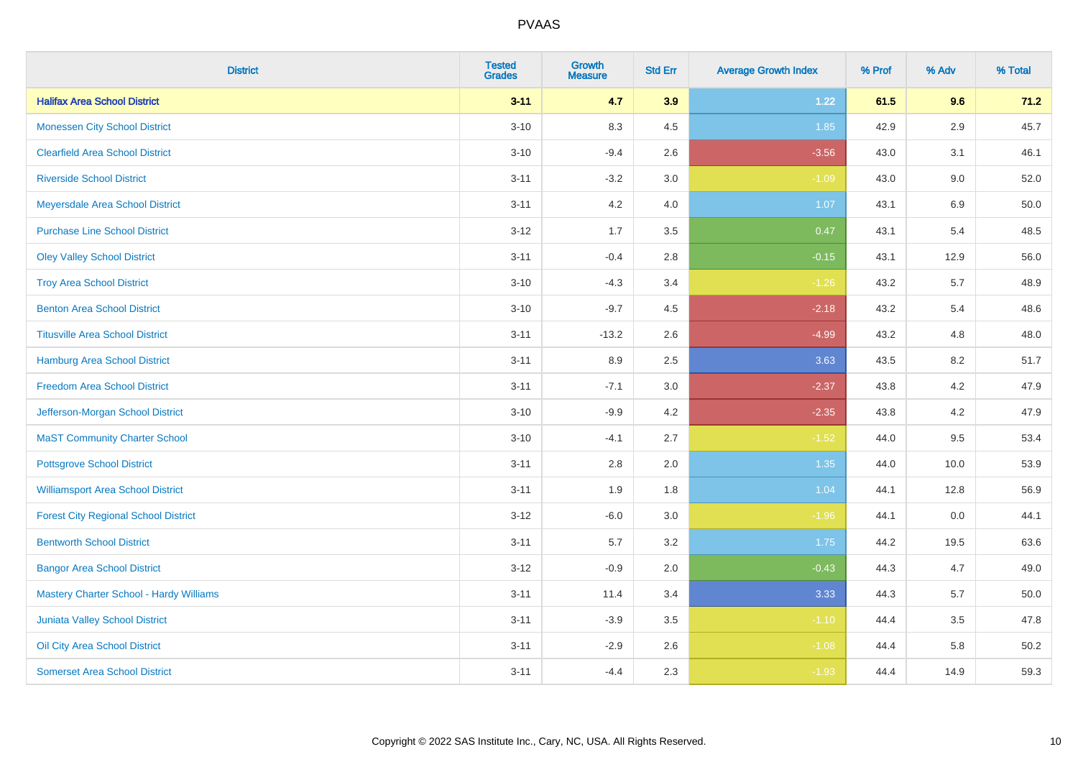| <b>District</b>                                | <b>Tested</b><br><b>Grades</b> | <b>Growth</b><br><b>Measure</b> | <b>Std Err</b> | <b>Average Growth Index</b> | % Prof | % Adv   | % Total |
|------------------------------------------------|--------------------------------|---------------------------------|----------------|-----------------------------|--------|---------|---------|
| <b>Halifax Area School District</b>            | $3 - 11$                       | 4.7                             | 3.9            | 1.22                        | 61.5   | 9.6     | 71.2    |
| <b>Monessen City School District</b>           | $3 - 10$                       | 8.3                             | 4.5            | 1.85                        | 42.9   | $2.9\,$ | 45.7    |
| <b>Clearfield Area School District</b>         | $3 - 10$                       | $-9.4$                          | 2.6            | $-3.56$                     | 43.0   | 3.1     | 46.1    |
| <b>Riverside School District</b>               | $3 - 11$                       | $-3.2$                          | 3.0            | $-1.09$                     | 43.0   | 9.0     | 52.0    |
| Meyersdale Area School District                | $3 - 11$                       | 4.2                             | 4.0            | 1.07                        | 43.1   | 6.9     | 50.0    |
| <b>Purchase Line School District</b>           | $3 - 12$                       | 1.7                             | 3.5            | 0.47                        | 43.1   | 5.4     | 48.5    |
| <b>Oley Valley School District</b>             | $3 - 11$                       | $-0.4$                          | 2.8            | $-0.15$                     | 43.1   | 12.9    | 56.0    |
| <b>Troy Area School District</b>               | $3 - 10$                       | $-4.3$                          | 3.4            | $-1.26$                     | 43.2   | 5.7     | 48.9    |
| <b>Benton Area School District</b>             | $3 - 10$                       | $-9.7$                          | 4.5            | $-2.18$                     | 43.2   | 5.4     | 48.6    |
| <b>Titusville Area School District</b>         | $3 - 11$                       | $-13.2$                         | 2.6            | $-4.99$                     | 43.2   | 4.8     | 48.0    |
| Hamburg Area School District                   | $3 - 11$                       | 8.9                             | 2.5            | 3.63                        | 43.5   | 8.2     | 51.7    |
| <b>Freedom Area School District</b>            | $3 - 11$                       | $-7.1$                          | 3.0            | $-2.37$                     | 43.8   | 4.2     | 47.9    |
| Jefferson-Morgan School District               | $3 - 10$                       | $-9.9$                          | 4.2            | $-2.35$                     | 43.8   | 4.2     | 47.9    |
| <b>MaST Community Charter School</b>           | $3 - 10$                       | $-4.1$                          | 2.7            | $-1.52$                     | 44.0   | 9.5     | 53.4    |
| <b>Pottsgrove School District</b>              | $3 - 11$                       | 2.8                             | 2.0            | 1.35                        | 44.0   | 10.0    | 53.9    |
| <b>Williamsport Area School District</b>       | $3 - 11$                       | 1.9                             | 1.8            | 1.04                        | 44.1   | 12.8    | 56.9    |
| <b>Forest City Regional School District</b>    | $3 - 12$                       | $-6.0$                          | 3.0            | $-1.96$                     | 44.1   | 0.0     | 44.1    |
| <b>Bentworth School District</b>               | $3 - 11$                       | 5.7                             | 3.2            | 1.75                        | 44.2   | 19.5    | 63.6    |
| <b>Bangor Area School District</b>             | $3 - 12$                       | $-0.9$                          | 2.0            | $-0.43$                     | 44.3   | 4.7     | 49.0    |
| <b>Mastery Charter School - Hardy Williams</b> | $3 - 11$                       | 11.4                            | 3.4            | 3.33                        | 44.3   | 5.7     | 50.0    |
| Juniata Valley School District                 | $3 - 11$                       | $-3.9$                          | 3.5            | $-1.10$                     | 44.4   | 3.5     | 47.8    |
| Oil City Area School District                  | $3 - 11$                       | $-2.9$                          | 2.6            | $-1.08$                     | 44.4   | 5.8     | 50.2    |
| <b>Somerset Area School District</b>           | $3 - 11$                       | $-4.4$                          | 2.3            | $-1.93$                     | 44.4   | 14.9    | 59.3    |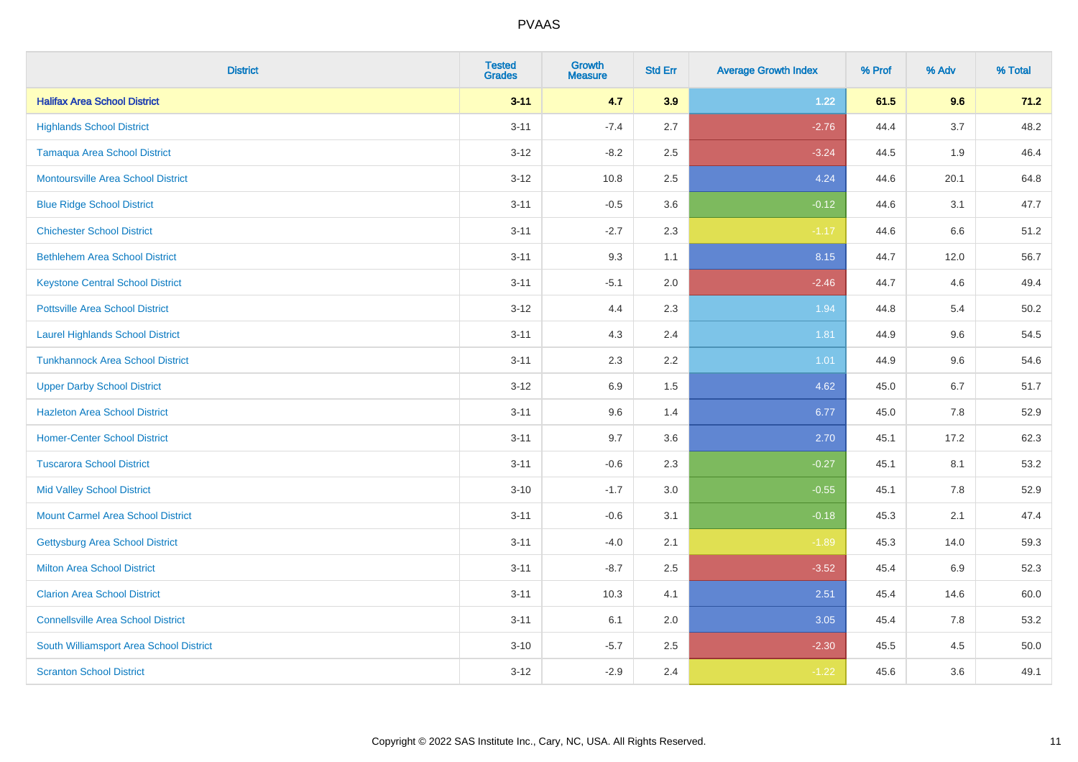| <b>District</b>                           | <b>Tested</b><br><b>Grades</b> | <b>Growth</b><br><b>Measure</b> | <b>Std Err</b> | <b>Average Growth Index</b> | % Prof | % Adv | % Total |
|-------------------------------------------|--------------------------------|---------------------------------|----------------|-----------------------------|--------|-------|---------|
| <b>Halifax Area School District</b>       | $3 - 11$                       | 4.7                             | 3.9            | 1.22                        | 61.5   | 9.6   | 71.2    |
| <b>Highlands School District</b>          | $3 - 11$                       | $-7.4$                          | 2.7            | $-2.76$                     | 44.4   | 3.7   | 48.2    |
| <b>Tamaqua Area School District</b>       | $3 - 12$                       | $-8.2$                          | 2.5            | $-3.24$                     | 44.5   | 1.9   | 46.4    |
| <b>Montoursville Area School District</b> | $3 - 12$                       | 10.8                            | 2.5            | 4.24                        | 44.6   | 20.1  | 64.8    |
| <b>Blue Ridge School District</b>         | $3 - 11$                       | $-0.5$                          | 3.6            | $-0.12$                     | 44.6   | 3.1   | 47.7    |
| <b>Chichester School District</b>         | $3 - 11$                       | $-2.7$                          | 2.3            | $-1.17$                     | 44.6   | 6.6   | 51.2    |
| <b>Bethlehem Area School District</b>     | $3 - 11$                       | 9.3                             | 1.1            | 8.15                        | 44.7   | 12.0  | 56.7    |
| <b>Keystone Central School District</b>   | $3 - 11$                       | $-5.1$                          | 2.0            | $-2.46$                     | 44.7   | 4.6   | 49.4    |
| <b>Pottsville Area School District</b>    | $3 - 12$                       | 4.4                             | 2.3            | 1.94                        | 44.8   | 5.4   | 50.2    |
| <b>Laurel Highlands School District</b>   | $3 - 11$                       | 4.3                             | 2.4            | 1.81                        | 44.9   | 9.6   | 54.5    |
| <b>Tunkhannock Area School District</b>   | $3 - 11$                       | 2.3                             | 2.2            | 1.01                        | 44.9   | 9.6   | 54.6    |
| <b>Upper Darby School District</b>        | $3 - 12$                       | 6.9                             | 1.5            | 4.62                        | 45.0   | 6.7   | 51.7    |
| <b>Hazleton Area School District</b>      | $3 - 11$                       | 9.6                             | 1.4            | 6.77                        | 45.0   | 7.8   | 52.9    |
| <b>Homer-Center School District</b>       | $3 - 11$                       | 9.7                             | 3.6            | 2.70                        | 45.1   | 17.2  | 62.3    |
| <b>Tuscarora School District</b>          | $3 - 11$                       | $-0.6$                          | 2.3            | $-0.27$                     | 45.1   | 8.1   | 53.2    |
| <b>Mid Valley School District</b>         | $3 - 10$                       | $-1.7$                          | 3.0            | $-0.55$                     | 45.1   | 7.8   | 52.9    |
| <b>Mount Carmel Area School District</b>  | $3 - 11$                       | $-0.6$                          | 3.1            | $-0.18$                     | 45.3   | 2.1   | 47.4    |
| Gettysburg Area School District           | $3 - 11$                       | $-4.0$                          | 2.1            | $-1.89$                     | 45.3   | 14.0  | 59.3    |
| <b>Milton Area School District</b>        | $3 - 11$                       | $-8.7$                          | 2.5            | $-3.52$                     | 45.4   | 6.9   | 52.3    |
| <b>Clarion Area School District</b>       | $3 - 11$                       | 10.3                            | 4.1            | 2.51                        | 45.4   | 14.6  | 60.0    |
| <b>Connellsville Area School District</b> | $3 - 11$                       | 6.1                             | 2.0            | 3.05                        | 45.4   | 7.8   | 53.2    |
| South Williamsport Area School District   | $3 - 10$                       | $-5.7$                          | 2.5            | $-2.30$                     | 45.5   | 4.5   | 50.0    |
| <b>Scranton School District</b>           | $3 - 12$                       | $-2.9$                          | 2.4            | $-1.22$                     | 45.6   | 3.6   | 49.1    |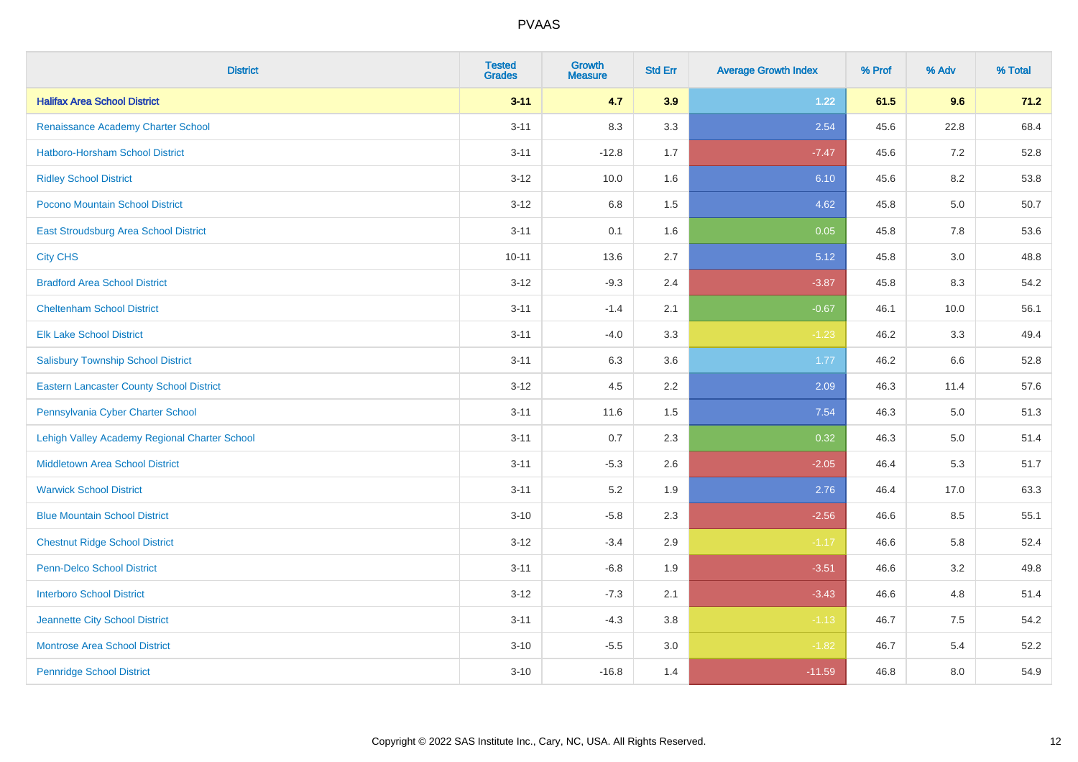| <b>District</b>                                 | <b>Tested</b><br><b>Grades</b> | <b>Growth</b><br><b>Measure</b> | <b>Std Err</b> | <b>Average Growth Index</b> | % Prof | % Adv   | % Total |
|-------------------------------------------------|--------------------------------|---------------------------------|----------------|-----------------------------|--------|---------|---------|
| <b>Halifax Area School District</b>             | $3 - 11$                       | 4.7                             | 3.9            | 1.22                        | 61.5   | 9.6     | 71.2    |
| Renaissance Academy Charter School              | $3 - 11$                       | 8.3                             | 3.3            | 2.54                        | 45.6   | 22.8    | 68.4    |
| <b>Hatboro-Horsham School District</b>          | $3 - 11$                       | $-12.8$                         | 1.7            | $-7.47$                     | 45.6   | 7.2     | 52.8    |
| <b>Ridley School District</b>                   | $3 - 12$                       | 10.0                            | 1.6            | 6.10                        | 45.6   | 8.2     | 53.8    |
| Pocono Mountain School District                 | $3 - 12$                       | 6.8                             | 1.5            | 4.62                        | 45.8   | 5.0     | 50.7    |
| <b>East Stroudsburg Area School District</b>    | $3 - 11$                       | 0.1                             | 1.6            | 0.05                        | 45.8   | 7.8     | 53.6    |
| <b>City CHS</b>                                 | $10 - 11$                      | 13.6                            | 2.7            | 5.12                        | 45.8   | 3.0     | 48.8    |
| <b>Bradford Area School District</b>            | $3 - 12$                       | $-9.3$                          | 2.4            | $-3.87$                     | 45.8   | 8.3     | 54.2    |
| <b>Cheltenham School District</b>               | $3 - 11$                       | $-1.4$                          | 2.1            | $-0.67$                     | 46.1   | 10.0    | 56.1    |
| <b>Elk Lake School District</b>                 | $3 - 11$                       | $-4.0$                          | 3.3            | $-1.23$                     | 46.2   | 3.3     | 49.4    |
| <b>Salisbury Township School District</b>       | $3 - 11$                       | 6.3                             | 3.6            | 1.77                        | 46.2   | 6.6     | 52.8    |
| <b>Eastern Lancaster County School District</b> | $3 - 12$                       | 4.5                             | 2.2            | 2.09                        | 46.3   | 11.4    | 57.6    |
| Pennsylvania Cyber Charter School               | $3 - 11$                       | 11.6                            | 1.5            | 7.54                        | 46.3   | $5.0\,$ | 51.3    |
| Lehigh Valley Academy Regional Charter School   | $3 - 11$                       | 0.7                             | 2.3            | 0.32                        | 46.3   | 5.0     | 51.4    |
| <b>Middletown Area School District</b>          | $3 - 11$                       | $-5.3$                          | 2.6            | $-2.05$                     | 46.4   | 5.3     | 51.7    |
| <b>Warwick School District</b>                  | $3 - 11$                       | 5.2                             | 1.9            | 2.76                        | 46.4   | 17.0    | 63.3    |
| <b>Blue Mountain School District</b>            | $3 - 10$                       | $-5.8$                          | 2.3            | $-2.56$                     | 46.6   | 8.5     | 55.1    |
| <b>Chestnut Ridge School District</b>           | $3 - 12$                       | $-3.4$                          | 2.9            | $-1.17$                     | 46.6   | 5.8     | 52.4    |
| Penn-Delco School District                      | $3 - 11$                       | $-6.8$                          | 1.9            | $-3.51$                     | 46.6   | 3.2     | 49.8    |
| <b>Interboro School District</b>                | $3 - 12$                       | $-7.3$                          | 2.1            | $-3.43$                     | 46.6   | 4.8     | 51.4    |
| Jeannette City School District                  | $3 - 11$                       | $-4.3$                          | 3.8            | $-1.13$                     | 46.7   | 7.5     | 54.2    |
| <b>Montrose Area School District</b>            | $3 - 10$                       | $-5.5$                          | 3.0            | $-1.82$                     | 46.7   | 5.4     | 52.2    |
| <b>Pennridge School District</b>                | $3 - 10$                       | $-16.8$                         | 1.4            | $-11.59$                    | 46.8   | 8.0     | 54.9    |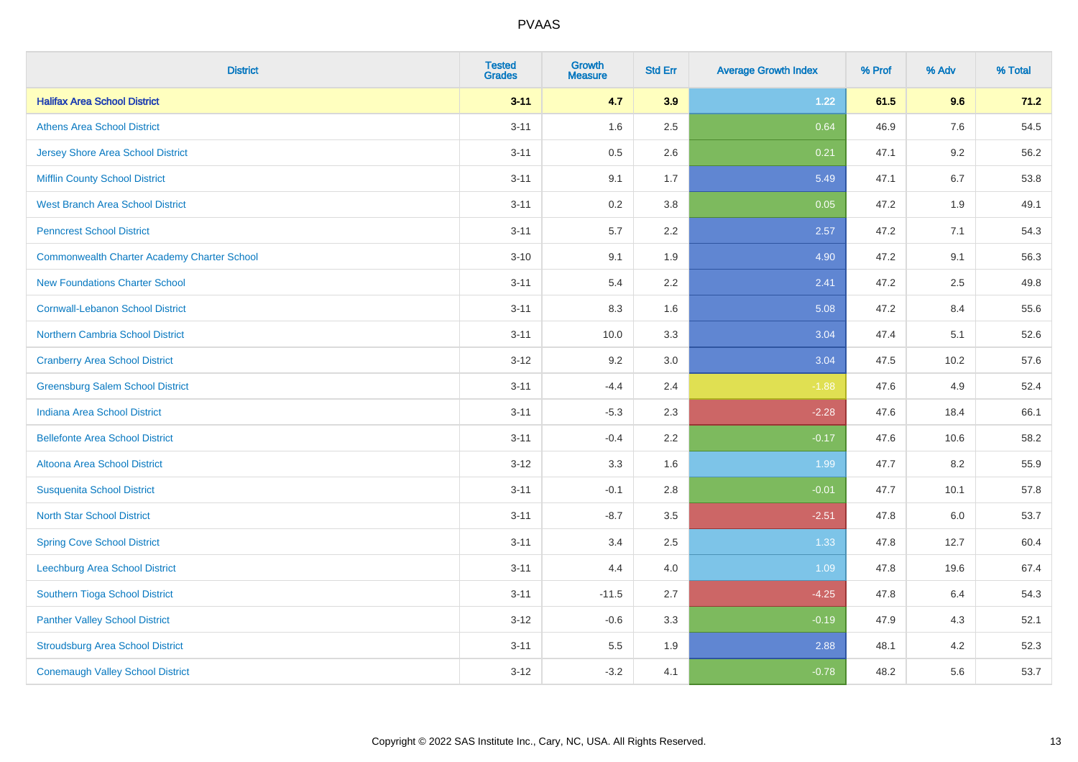| <b>District</b>                                    | <b>Tested</b><br><b>Grades</b> | <b>Growth</b><br><b>Measure</b> | <b>Std Err</b> | <b>Average Growth Index</b> | % Prof | % Adv   | % Total |
|----------------------------------------------------|--------------------------------|---------------------------------|----------------|-----------------------------|--------|---------|---------|
| <b>Halifax Area School District</b>                | $3 - 11$                       | 4.7                             | 3.9            | 1.22                        | 61.5   | 9.6     | 71.2    |
| <b>Athens Area School District</b>                 | $3 - 11$                       | 1.6                             | 2.5            | 0.64                        | 46.9   | 7.6     | 54.5    |
| <b>Jersey Shore Area School District</b>           | $3 - 11$                       | 0.5                             | 2.6            | 0.21                        | 47.1   | 9.2     | 56.2    |
| <b>Mifflin County School District</b>              | $3 - 11$                       | 9.1                             | 1.7            | 5.49                        | 47.1   | 6.7     | 53.8    |
| <b>West Branch Area School District</b>            | $3 - 11$                       | 0.2                             | 3.8            | 0.05                        | 47.2   | 1.9     | 49.1    |
| <b>Penncrest School District</b>                   | $3 - 11$                       | 5.7                             | 2.2            | 2.57                        | 47.2   | 7.1     | 54.3    |
| <b>Commonwealth Charter Academy Charter School</b> | $3 - 10$                       | 9.1                             | 1.9            | 4.90                        | 47.2   | 9.1     | 56.3    |
| <b>New Foundations Charter School</b>              | $3 - 11$                       | 5.4                             | 2.2            | 2.41                        | 47.2   | 2.5     | 49.8    |
| <b>Cornwall-Lebanon School District</b>            | $3 - 11$                       | 8.3                             | 1.6            | 5.08                        | 47.2   | 8.4     | 55.6    |
| Northern Cambria School District                   | $3 - 11$                       | 10.0                            | 3.3            | 3.04                        | 47.4   | 5.1     | 52.6    |
| <b>Cranberry Area School District</b>              | $3 - 12$                       | 9.2                             | 3.0            | 3.04                        | 47.5   | 10.2    | 57.6    |
| <b>Greensburg Salem School District</b>            | $3 - 11$                       | $-4.4$                          | 2.4            | $-1.88$                     | 47.6   | 4.9     | 52.4    |
| <b>Indiana Area School District</b>                | $3 - 11$                       | $-5.3$                          | 2.3            | $-2.28$                     | 47.6   | 18.4    | 66.1    |
| <b>Bellefonte Area School District</b>             | $3 - 11$                       | $-0.4$                          | 2.2            | $-0.17$                     | 47.6   | 10.6    | 58.2    |
| Altoona Area School District                       | $3 - 12$                       | 3.3                             | 1.6            | 1.99                        | 47.7   | 8.2     | 55.9    |
| <b>Susquenita School District</b>                  | $3 - 11$                       | $-0.1$                          | 2.8            | $-0.01$                     | 47.7   | 10.1    | 57.8    |
| <b>North Star School District</b>                  | $3 - 11$                       | $-8.7$                          | 3.5            | $-2.51$                     | 47.8   | $6.0\,$ | 53.7    |
| <b>Spring Cove School District</b>                 | $3 - 11$                       | 3.4                             | 2.5            | 1.33                        | 47.8   | 12.7    | 60.4    |
| <b>Leechburg Area School District</b>              | $3 - 11$                       | 4.4                             | 4.0            | 1.09                        | 47.8   | 19.6    | 67.4    |
| Southern Tioga School District                     | $3 - 11$                       | $-11.5$                         | 2.7            | $-4.25$                     | 47.8   | 6.4     | 54.3    |
| <b>Panther Valley School District</b>              | $3 - 12$                       | $-0.6$                          | 3.3            | $-0.19$                     | 47.9   | 4.3     | 52.1    |
| <b>Stroudsburg Area School District</b>            | $3 - 11$                       | 5.5                             | 1.9            | 2.88                        | 48.1   | 4.2     | 52.3    |
| <b>Conemaugh Valley School District</b>            | $3 - 12$                       | $-3.2$                          | 4.1            | $-0.78$                     | 48.2   | 5.6     | 53.7    |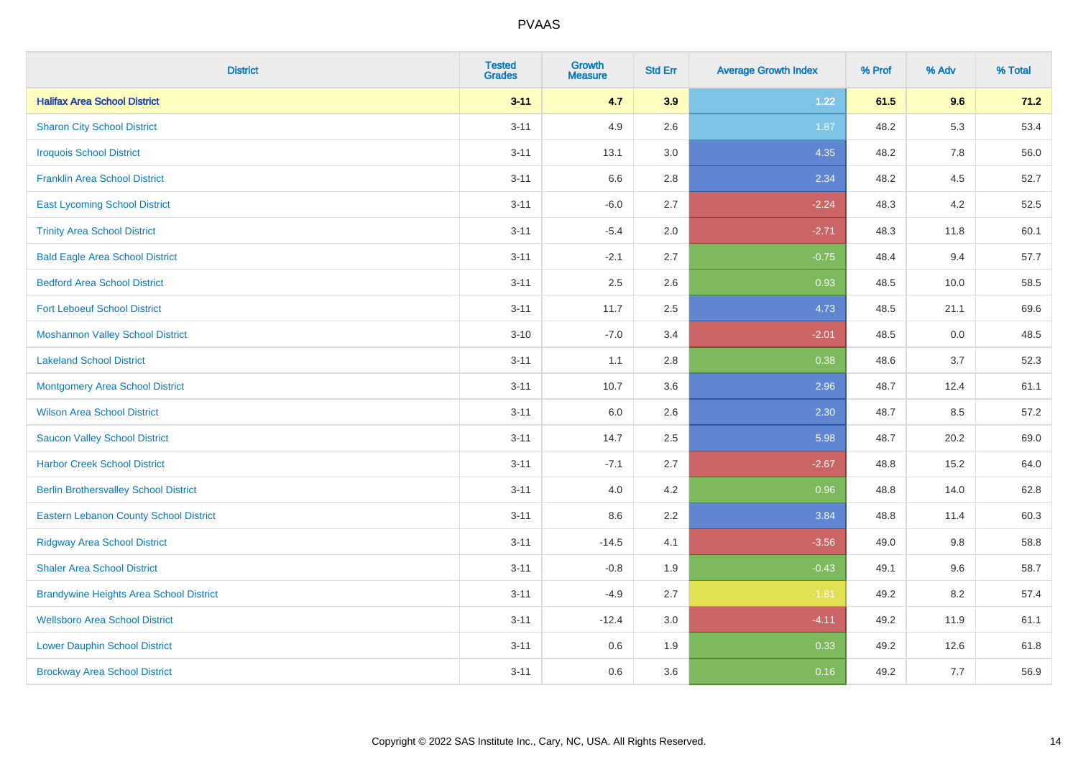| <b>District</b>                                | <b>Tested</b><br><b>Grades</b> | <b>Growth</b><br><b>Measure</b> | <b>Std Err</b> | <b>Average Growth Index</b> | % Prof | % Adv   | % Total |
|------------------------------------------------|--------------------------------|---------------------------------|----------------|-----------------------------|--------|---------|---------|
| <b>Halifax Area School District</b>            | $3 - 11$                       | 4.7                             | 3.9            | 1.22                        | 61.5   | 9.6     | 71.2    |
| <b>Sharon City School District</b>             | $3 - 11$                       | 4.9                             | 2.6            | 1.87                        | 48.2   | 5.3     | 53.4    |
| <b>Iroquois School District</b>                | $3 - 11$                       | 13.1                            | 3.0            | 4.35                        | 48.2   | 7.8     | 56.0    |
| <b>Franklin Area School District</b>           | $3 - 11$                       | 6.6                             | 2.8            | 2.34                        | 48.2   | 4.5     | 52.7    |
| <b>East Lycoming School District</b>           | $3 - 11$                       | $-6.0$                          | 2.7            | $-2.24$                     | 48.3   | 4.2     | 52.5    |
| <b>Trinity Area School District</b>            | $3 - 11$                       | $-5.4$                          | 2.0            | $-2.71$                     | 48.3   | 11.8    | 60.1    |
| <b>Bald Eagle Area School District</b>         | $3 - 11$                       | $-2.1$                          | 2.7            | $-0.75$                     | 48.4   | 9.4     | 57.7    |
| <b>Bedford Area School District</b>            | $3 - 11$                       | 2.5                             | 2.6            | 0.93                        | 48.5   | 10.0    | 58.5    |
| <b>Fort Leboeuf School District</b>            | $3 - 11$                       | 11.7                            | 2.5            | 4.73                        | 48.5   | 21.1    | 69.6    |
| <b>Moshannon Valley School District</b>        | $3 - 10$                       | $-7.0$                          | 3.4            | $-2.01$                     | 48.5   | $0.0\,$ | 48.5    |
| <b>Lakeland School District</b>                | $3 - 11$                       | 1.1                             | 2.8            | 0.38                        | 48.6   | 3.7     | 52.3    |
| Montgomery Area School District                | $3 - 11$                       | 10.7                            | 3.6            | 2.96                        | 48.7   | 12.4    | 61.1    |
| <b>Wilson Area School District</b>             | $3 - 11$                       | 6.0                             | 2.6            | 2.30                        | 48.7   | 8.5     | 57.2    |
| <b>Saucon Valley School District</b>           | $3 - 11$                       | 14.7                            | 2.5            | 5.98                        | 48.7   | 20.2    | 69.0    |
| <b>Harbor Creek School District</b>            | $3 - 11$                       | $-7.1$                          | 2.7            | $-2.67$                     | 48.8   | 15.2    | 64.0    |
| <b>Berlin Brothersvalley School District</b>   | $3 - 11$                       | 4.0                             | 4.2            | 0.96                        | 48.8   | 14.0    | 62.8    |
| <b>Eastern Lebanon County School District</b>  | $3 - 11$                       | 8.6                             | 2.2            | 3.84                        | 48.8   | 11.4    | 60.3    |
| <b>Ridgway Area School District</b>            | $3 - 11$                       | $-14.5$                         | 4.1            | $-3.56$                     | 49.0   | 9.8     | 58.8    |
| <b>Shaler Area School District</b>             | $3 - 11$                       | $-0.8$                          | 1.9            | $-0.43$                     | 49.1   | 9.6     | 58.7    |
| <b>Brandywine Heights Area School District</b> | $3 - 11$                       | $-4.9$                          | 2.7            | $-1.81$                     | 49.2   | 8.2     | 57.4    |
| <b>Wellsboro Area School District</b>          | $3 - 11$                       | $-12.4$                         | 3.0            | $-4.11$                     | 49.2   | 11.9    | 61.1    |
| <b>Lower Dauphin School District</b>           | $3 - 11$                       | 0.6                             | 1.9            | 0.33                        | 49.2   | 12.6    | 61.8    |
| <b>Brockway Area School District</b>           | $3 - 11$                       | 0.6                             | 3.6            | 0.16                        | 49.2   | 7.7     | 56.9    |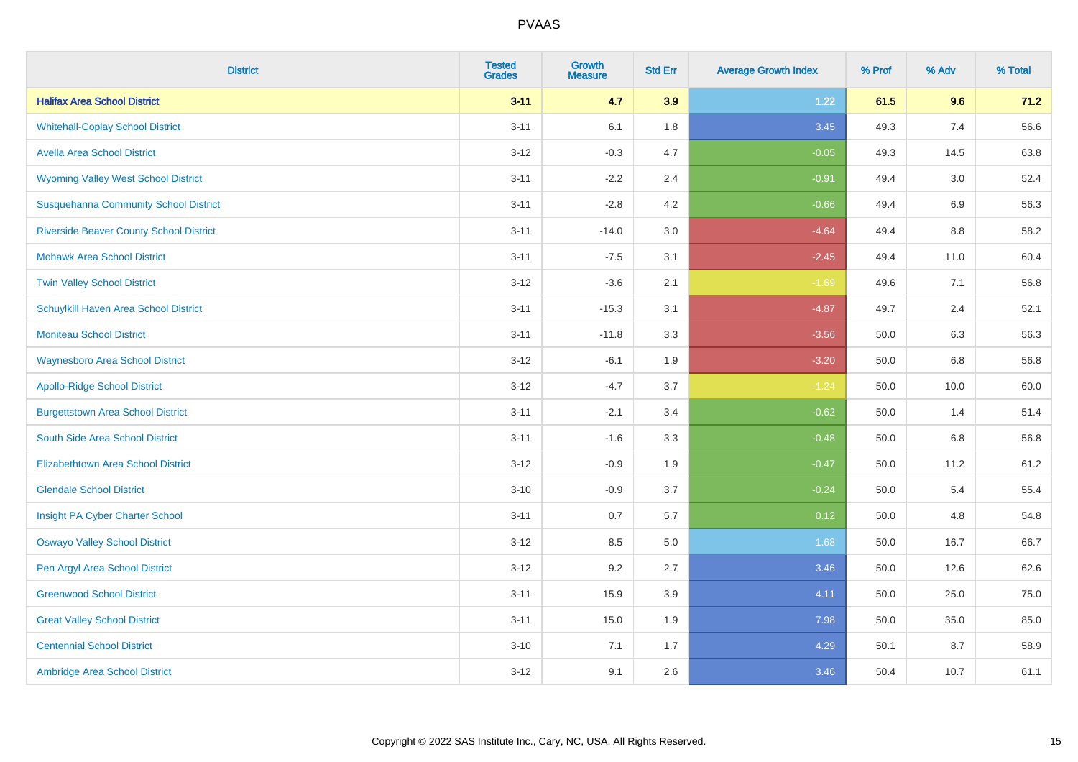| <b>District</b>                                | <b>Tested</b><br><b>Grades</b> | <b>Growth</b><br><b>Measure</b> | <b>Std Err</b> | <b>Average Growth Index</b> | % Prof | % Adv | % Total |
|------------------------------------------------|--------------------------------|---------------------------------|----------------|-----------------------------|--------|-------|---------|
| <b>Halifax Area School District</b>            | $3 - 11$                       | 4.7                             | 3.9            | 1.22                        | 61.5   | 9.6   | 71.2    |
| <b>Whitehall-Coplay School District</b>        | $3 - 11$                       | 6.1                             | 1.8            | 3.45                        | 49.3   | 7.4   | 56.6    |
| <b>Avella Area School District</b>             | $3 - 12$                       | $-0.3$                          | 4.7            | $-0.05$                     | 49.3   | 14.5  | 63.8    |
| <b>Wyoming Valley West School District</b>     | $3 - 11$                       | $-2.2$                          | 2.4            | $-0.91$                     | 49.4   | 3.0   | 52.4    |
| <b>Susquehanna Community School District</b>   | $3 - 11$                       | $-2.8$                          | 4.2            | $-0.66$                     | 49.4   | 6.9   | 56.3    |
| <b>Riverside Beaver County School District</b> | $3 - 11$                       | $-14.0$                         | 3.0            | $-4.64$                     | 49.4   | 8.8   | 58.2    |
| <b>Mohawk Area School District</b>             | $3 - 11$                       | $-7.5$                          | 3.1            | $-2.45$                     | 49.4   | 11.0  | 60.4    |
| <b>Twin Valley School District</b>             | $3 - 12$                       | $-3.6$                          | 2.1            | $-1.69$                     | 49.6   | 7.1   | 56.8    |
| Schuylkill Haven Area School District          | $3 - 11$                       | $-15.3$                         | 3.1            | $-4.87$                     | 49.7   | 2.4   | 52.1    |
| <b>Moniteau School District</b>                | $3 - 11$                       | $-11.8$                         | 3.3            | $-3.56$                     | 50.0   | 6.3   | 56.3    |
| <b>Waynesboro Area School District</b>         | $3 - 12$                       | $-6.1$                          | 1.9            | $-3.20$                     | 50.0   | 6.8   | 56.8    |
| <b>Apollo-Ridge School District</b>            | $3 - 12$                       | $-4.7$                          | 3.7            | $-1.24$                     | 50.0   | 10.0  | 60.0    |
| <b>Burgettstown Area School District</b>       | $3 - 11$                       | $-2.1$                          | 3.4            | $-0.62$                     | 50.0   | 1.4   | 51.4    |
| South Side Area School District                | $3 - 11$                       | $-1.6$                          | 3.3            | $-0.48$                     | 50.0   | 6.8   | 56.8    |
| <b>Elizabethtown Area School District</b>      | $3 - 12$                       | $-0.9$                          | 1.9            | $-0.47$                     | 50.0   | 11.2  | 61.2    |
| <b>Glendale School District</b>                | $3 - 10$                       | $-0.9$                          | 3.7            | $-0.24$                     | 50.0   | 5.4   | 55.4    |
| Insight PA Cyber Charter School                | $3 - 11$                       | 0.7                             | 5.7            | 0.12                        | 50.0   | 4.8   | 54.8    |
| <b>Oswayo Valley School District</b>           | $3 - 12$                       | 8.5                             | 5.0            | 1.68                        | 50.0   | 16.7  | 66.7    |
| Pen Argyl Area School District                 | $3 - 12$                       | 9.2                             | 2.7            | 3.46                        | 50.0   | 12.6  | 62.6    |
| <b>Greenwood School District</b>               | $3 - 11$                       | 15.9                            | 3.9            | 4.11                        | 50.0   | 25.0  | 75.0    |
| <b>Great Valley School District</b>            | $3 - 11$                       | 15.0                            | 1.9            | 7.98                        | 50.0   | 35.0  | 85.0    |
| <b>Centennial School District</b>              | $3 - 10$                       | 7.1                             | 1.7            | 4.29                        | 50.1   | 8.7   | 58.9    |
| Ambridge Area School District                  | $3 - 12$                       | 9.1                             | 2.6            | 3.46                        | 50.4   | 10.7  | 61.1    |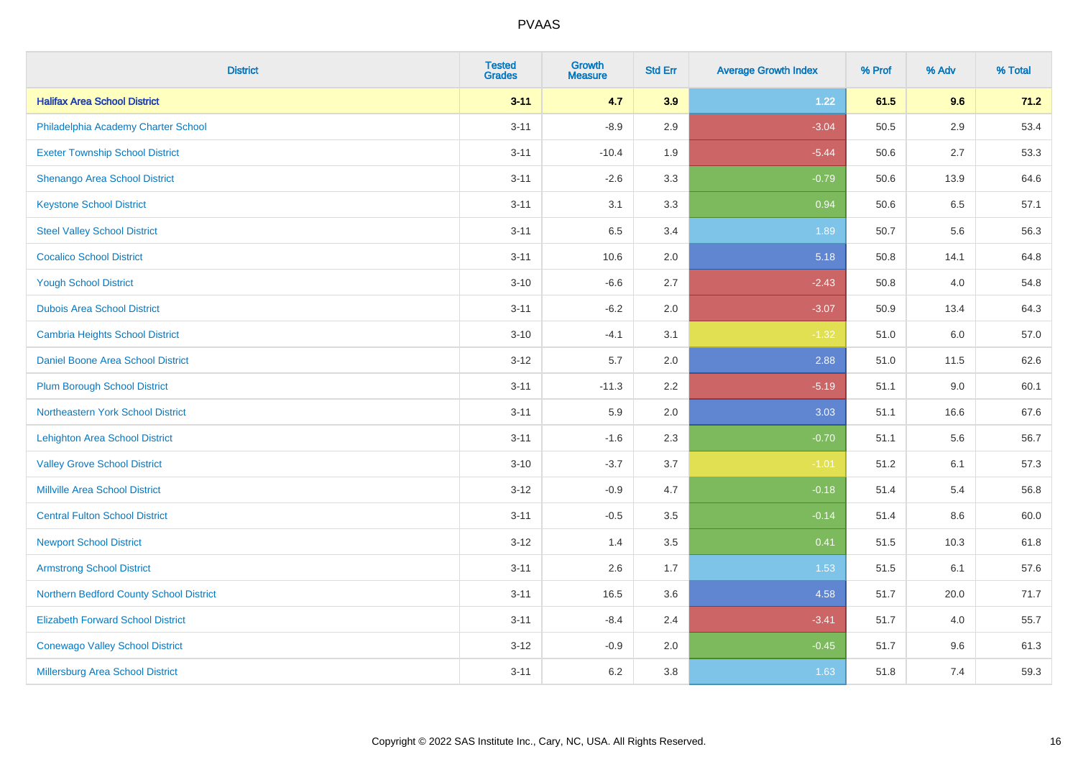| <b>District</b>                          | <b>Tested</b><br><b>Grades</b> | <b>Growth</b><br><b>Measure</b> | <b>Std Err</b> | <b>Average Growth Index</b> | % Prof | % Adv | % Total |
|------------------------------------------|--------------------------------|---------------------------------|----------------|-----------------------------|--------|-------|---------|
| <b>Halifax Area School District</b>      | $3 - 11$                       | 4.7                             | 3.9            | 1.22                        | 61.5   | 9.6   | 71.2    |
| Philadelphia Academy Charter School      | $3 - 11$                       | $-8.9$                          | 2.9            | $-3.04$                     | 50.5   | 2.9   | 53.4    |
| <b>Exeter Township School District</b>   | $3 - 11$                       | $-10.4$                         | 1.9            | $-5.44$                     | 50.6   | 2.7   | 53.3    |
| Shenango Area School District            | $3 - 11$                       | $-2.6$                          | 3.3            | $-0.79$                     | 50.6   | 13.9  | 64.6    |
| <b>Keystone School District</b>          | $3 - 11$                       | 3.1                             | 3.3            | 0.94                        | 50.6   | 6.5   | 57.1    |
| <b>Steel Valley School District</b>      | $3 - 11$                       | 6.5                             | 3.4            | 1.89                        | 50.7   | 5.6   | 56.3    |
| <b>Cocalico School District</b>          | $3 - 11$                       | 10.6                            | 2.0            | 5.18                        | 50.8   | 14.1  | 64.8    |
| <b>Yough School District</b>             | $3 - 10$                       | $-6.6$                          | 2.7            | $-2.43$                     | 50.8   | 4.0   | 54.8    |
| <b>Dubois Area School District</b>       | $3 - 11$                       | $-6.2$                          | 2.0            | $-3.07$                     | 50.9   | 13.4  | 64.3    |
| <b>Cambria Heights School District</b>   | $3 - 10$                       | $-4.1$                          | 3.1            | $-1.32$                     | 51.0   | 6.0   | 57.0    |
| Daniel Boone Area School District        | $3 - 12$                       | 5.7                             | 2.0            | 2.88                        | 51.0   | 11.5  | 62.6    |
| <b>Plum Borough School District</b>      | $3 - 11$                       | $-11.3$                         | 2.2            | $-5.19$                     | 51.1   | 9.0   | 60.1    |
| Northeastern York School District        | $3 - 11$                       | 5.9                             | 2.0            | 3.03                        | 51.1   | 16.6  | 67.6    |
| <b>Lehighton Area School District</b>    | $3 - 11$                       | $-1.6$                          | 2.3            | $-0.70$                     | 51.1   | 5.6   | 56.7    |
| <b>Valley Grove School District</b>      | $3 - 10$                       | $-3.7$                          | 3.7            | $-1.01$                     | 51.2   | 6.1   | 57.3    |
| <b>Millville Area School District</b>    | $3 - 12$                       | $-0.9$                          | 4.7            | $-0.18$                     | 51.4   | 5.4   | 56.8    |
| <b>Central Fulton School District</b>    | $3 - 11$                       | $-0.5$                          | 3.5            | $-0.14$                     | 51.4   | 8.6   | 60.0    |
| <b>Newport School District</b>           | $3 - 12$                       | 1.4                             | 3.5            | 0.41                        | 51.5   | 10.3  | 61.8    |
| <b>Armstrong School District</b>         | $3 - 11$                       | 2.6                             | 1.7            | 1.53                        | 51.5   | 6.1   | 57.6    |
| Northern Bedford County School District  | $3 - 11$                       | 16.5                            | 3.6            | 4.58                        | 51.7   | 20.0  | 71.7    |
| <b>Elizabeth Forward School District</b> | $3 - 11$                       | $-8.4$                          | 2.4            | $-3.41$                     | 51.7   | 4.0   | 55.7    |
| <b>Conewago Valley School District</b>   | $3 - 12$                       | $-0.9$                          | 2.0            | $-0.45$                     | 51.7   | 9.6   | 61.3    |
| Millersburg Area School District         | $3 - 11$                       | $6.2\,$                         | 3.8            | 1.63                        | 51.8   | 7.4   | 59.3    |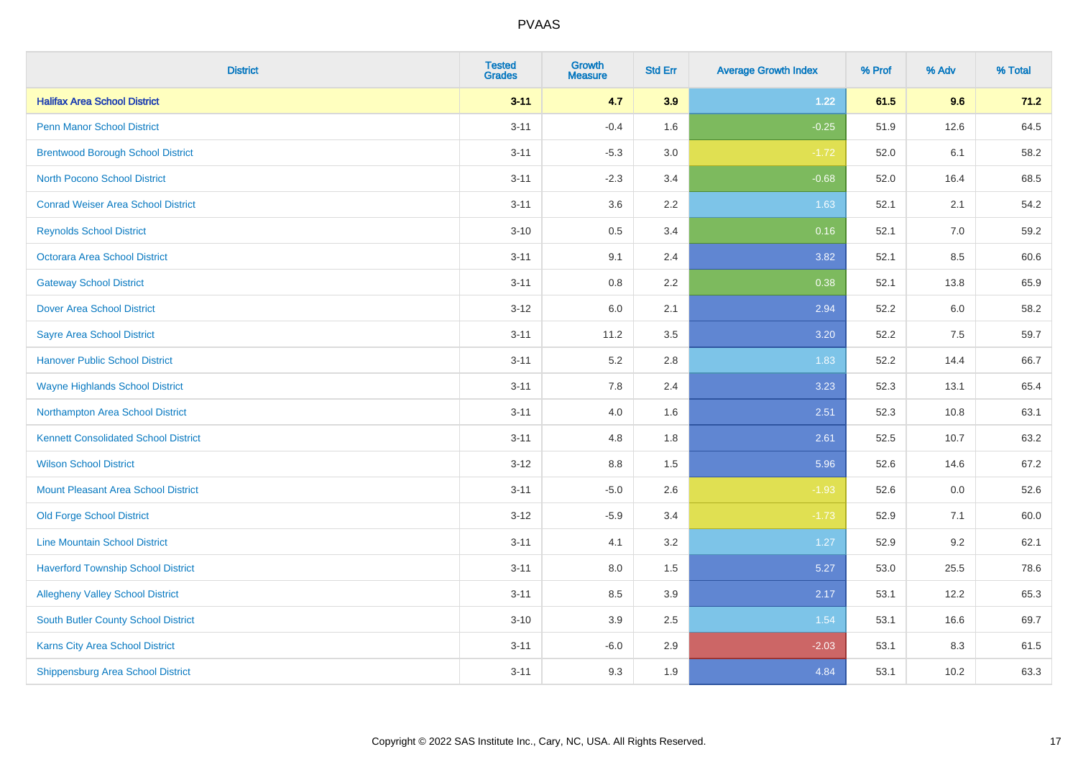| <b>District</b>                             | <b>Tested</b><br><b>Grades</b> | <b>Growth</b><br><b>Measure</b> | <b>Std Err</b> | <b>Average Growth Index</b> | % Prof | % Adv | % Total |
|---------------------------------------------|--------------------------------|---------------------------------|----------------|-----------------------------|--------|-------|---------|
| <b>Halifax Area School District</b>         | $3 - 11$                       | 4.7                             | 3.9            | 1.22                        | 61.5   | 9.6   | 71.2    |
| <b>Penn Manor School District</b>           | $3 - 11$                       | $-0.4$                          | 1.6            | $-0.25$                     | 51.9   | 12.6  | 64.5    |
| <b>Brentwood Borough School District</b>    | $3 - 11$                       | $-5.3$                          | 3.0            | $-1.72$                     | 52.0   | 6.1   | 58.2    |
| <b>North Pocono School District</b>         | $3 - 11$                       | $-2.3$                          | 3.4            | $-0.68$                     | 52.0   | 16.4  | 68.5    |
| <b>Conrad Weiser Area School District</b>   | $3 - 11$                       | 3.6                             | 2.2            | 1.63                        | 52.1   | 2.1   | 54.2    |
| <b>Reynolds School District</b>             | $3 - 10$                       | 0.5                             | 3.4            | 0.16                        | 52.1   | 7.0   | 59.2    |
| Octorara Area School District               | $3 - 11$                       | 9.1                             | 2.4            | 3.82                        | 52.1   | 8.5   | 60.6    |
| <b>Gateway School District</b>              | $3 - 11$                       | 0.8                             | 2.2            | 0.38                        | 52.1   | 13.8  | 65.9    |
| <b>Dover Area School District</b>           | $3 - 12$                       | 6.0                             | 2.1            | 2.94                        | 52.2   | 6.0   | 58.2    |
| <b>Sayre Area School District</b>           | $3 - 11$                       | 11.2                            | 3.5            | 3.20                        | 52.2   | 7.5   | 59.7    |
| <b>Hanover Public School District</b>       | $3 - 11$                       | 5.2                             | 2.8            | 1.83                        | 52.2   | 14.4  | 66.7    |
| <b>Wayne Highlands School District</b>      | $3 - 11$                       | 7.8                             | 2.4            | 3.23                        | 52.3   | 13.1  | 65.4    |
| Northampton Area School District            | $3 - 11$                       | $4.0\,$                         | 1.6            | 2.51                        | 52.3   | 10.8  | 63.1    |
| <b>Kennett Consolidated School District</b> | $3 - 11$                       | 4.8                             | 1.8            | 2.61                        | 52.5   | 10.7  | 63.2    |
| <b>Wilson School District</b>               | $3 - 12$                       | $8.8\,$                         | 1.5            | 5.96                        | 52.6   | 14.6  | 67.2    |
| <b>Mount Pleasant Area School District</b>  | $3 - 11$                       | $-5.0$                          | 2.6            | $-1.93$                     | 52.6   | 0.0   | 52.6    |
| <b>Old Forge School District</b>            | $3 - 12$                       | $-5.9$                          | 3.4            | $-1.73$                     | 52.9   | 7.1   | 60.0    |
| <b>Line Mountain School District</b>        | $3 - 11$                       | 4.1                             | 3.2            | 1.27                        | 52.9   | 9.2   | 62.1    |
| <b>Haverford Township School District</b>   | $3 - 11$                       | $8.0\,$                         | 1.5            | 5.27                        | 53.0   | 25.5  | 78.6    |
| <b>Allegheny Valley School District</b>     | $3 - 11$                       | 8.5                             | 3.9            | 2.17                        | 53.1   | 12.2  | 65.3    |
| South Butler County School District         | $3 - 10$                       | 3.9                             | 2.5            | 1.54                        | 53.1   | 16.6  | 69.7    |
| <b>Karns City Area School District</b>      | $3 - 11$                       | $-6.0$                          | 2.9            | $-2.03$                     | 53.1   | 8.3   | 61.5    |
| <b>Shippensburg Area School District</b>    | $3 - 11$                       | 9.3                             | 1.9            | 4.84                        | 53.1   | 10.2  | 63.3    |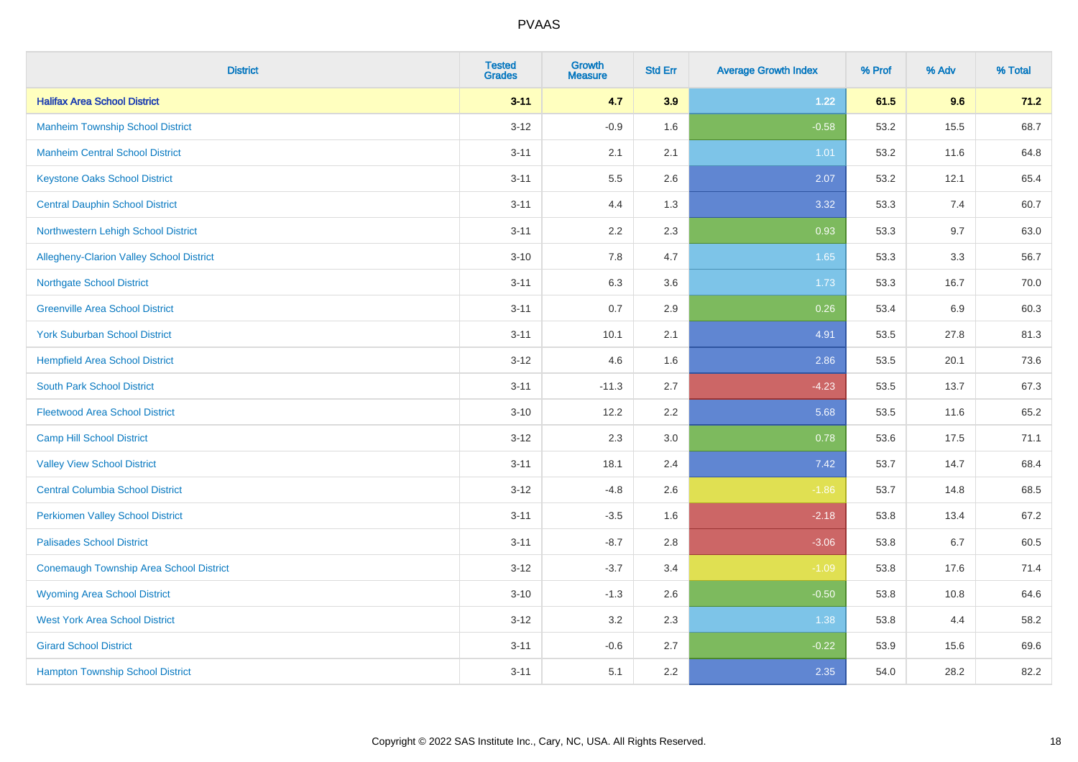| <b>District</b>                                | <b>Tested</b><br><b>Grades</b> | <b>Growth</b><br><b>Measure</b> | <b>Std Err</b> | <b>Average Growth Index</b> | % Prof | % Adv | % Total |
|------------------------------------------------|--------------------------------|---------------------------------|----------------|-----------------------------|--------|-------|---------|
| <b>Halifax Area School District</b>            | $3 - 11$                       | 4.7                             | 3.9            | 1.22                        | 61.5   | 9.6   | 71.2    |
| <b>Manheim Township School District</b>        | $3-12$                         | $-0.9$                          | 1.6            | $-0.58$                     | 53.2   | 15.5  | 68.7    |
| <b>Manheim Central School District</b>         | $3 - 11$                       | 2.1                             | 2.1            | 1.01                        | 53.2   | 11.6  | 64.8    |
| <b>Keystone Oaks School District</b>           | $3 - 11$                       | $5.5\,$                         | 2.6            | 2.07                        | 53.2   | 12.1  | 65.4    |
| <b>Central Dauphin School District</b>         | $3 - 11$                       | 4.4                             | 1.3            | 3.32                        | 53.3   | 7.4   | 60.7    |
| Northwestern Lehigh School District            | $3 - 11$                       | 2.2                             | 2.3            | 0.93                        | 53.3   | 9.7   | 63.0    |
| Allegheny-Clarion Valley School District       | $3 - 10$                       | 7.8                             | 4.7            | 1.65                        | 53.3   | 3.3   | 56.7    |
| <b>Northgate School District</b>               | $3 - 11$                       | 6.3                             | 3.6            | 1.73                        | 53.3   | 16.7  | 70.0    |
| <b>Greenville Area School District</b>         | $3 - 11$                       | 0.7                             | 2.9            | 0.26                        | 53.4   | 6.9   | 60.3    |
| <b>York Suburban School District</b>           | $3 - 11$                       | 10.1                            | 2.1            | 4.91                        | 53.5   | 27.8  | 81.3    |
| <b>Hempfield Area School District</b>          | $3 - 12$                       | 4.6                             | 1.6            | 2.86                        | 53.5   | 20.1  | 73.6    |
| <b>South Park School District</b>              | $3 - 11$                       | $-11.3$                         | 2.7            | $-4.23$                     | 53.5   | 13.7  | 67.3    |
| <b>Fleetwood Area School District</b>          | $3 - 10$                       | 12.2                            | 2.2            | 5.68                        | 53.5   | 11.6  | 65.2    |
| <b>Camp Hill School District</b>               | $3 - 12$                       | 2.3                             | 3.0            | 0.78                        | 53.6   | 17.5  | 71.1    |
| <b>Valley View School District</b>             | $3 - 11$                       | 18.1                            | 2.4            | 7.42                        | 53.7   | 14.7  | 68.4    |
| <b>Central Columbia School District</b>        | $3 - 12$                       | $-4.8$                          | 2.6            | $-1.86$                     | 53.7   | 14.8  | 68.5    |
| <b>Perkiomen Valley School District</b>        | $3 - 11$                       | $-3.5$                          | 1.6            | $-2.18$                     | 53.8   | 13.4  | 67.2    |
| <b>Palisades School District</b>               | $3 - 11$                       | $-8.7$                          | 2.8            | $-3.06$                     | 53.8   | 6.7   | 60.5    |
| <b>Conemaugh Township Area School District</b> | $3 - 12$                       | $-3.7$                          | 3.4            | $-1.09$                     | 53.8   | 17.6  | 71.4    |
| <b>Wyoming Area School District</b>            | $3 - 10$                       | $-1.3$                          | 2.6            | $-0.50$                     | 53.8   | 10.8  | 64.6    |
| <b>West York Area School District</b>          | $3 - 12$                       | 3.2                             | 2.3            | 1.38                        | 53.8   | 4.4   | 58.2    |
| <b>Girard School District</b>                  | $3 - 11$                       | $-0.6$                          | 2.7            | $-0.22$                     | 53.9   | 15.6  | 69.6    |
| <b>Hampton Township School District</b>        | $3 - 11$                       | 5.1                             | 2.2            | 2.35                        | 54.0   | 28.2  | 82.2    |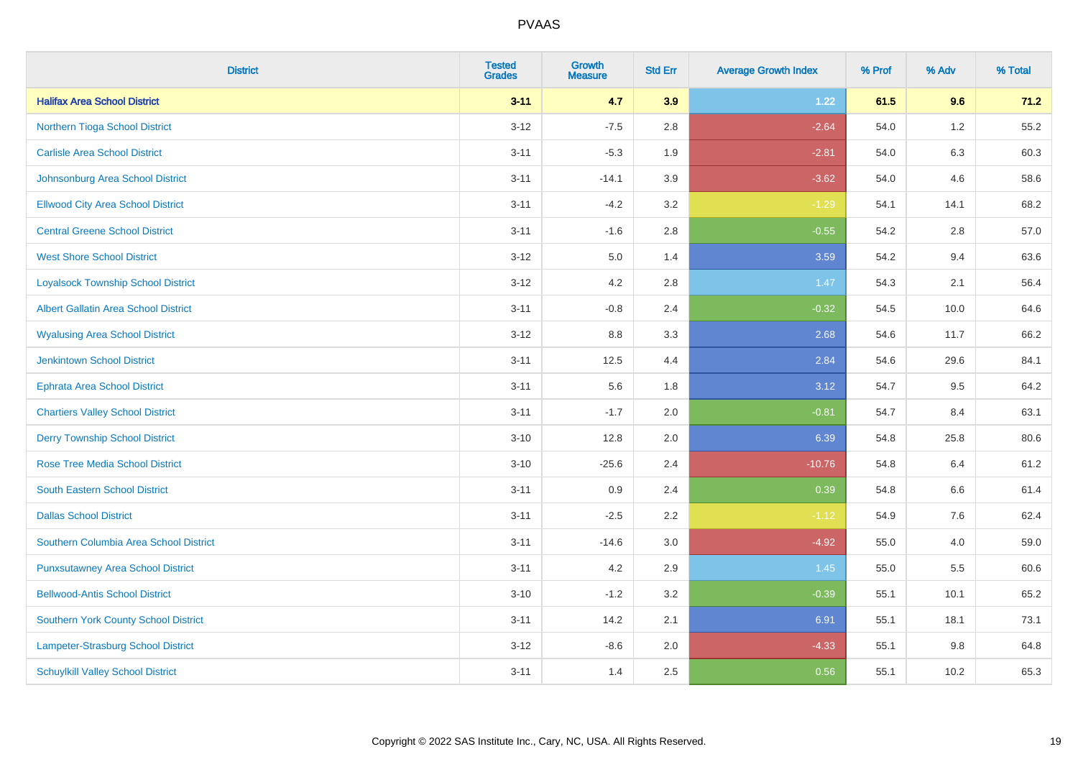| <b>District</b>                             | <b>Tested</b><br><b>Grades</b> | <b>Growth</b><br><b>Measure</b> | <b>Std Err</b> | <b>Average Growth Index</b> | % Prof | % Adv   | % Total |
|---------------------------------------------|--------------------------------|---------------------------------|----------------|-----------------------------|--------|---------|---------|
| <b>Halifax Area School District</b>         | $3 - 11$                       | 4.7                             | 3.9            | 1.22                        | 61.5   | 9.6     | 71.2    |
| Northern Tioga School District              | $3 - 12$                       | $-7.5$                          | 2.8            | $-2.64$                     | 54.0   | $1.2\,$ | 55.2    |
| <b>Carlisle Area School District</b>        | $3 - 11$                       | $-5.3$                          | 1.9            | $-2.81$                     | 54.0   | 6.3     | 60.3    |
| Johnsonburg Area School District            | $3 - 11$                       | $-14.1$                         | 3.9            | $-3.62$                     | 54.0   | 4.6     | 58.6    |
| <b>Ellwood City Area School District</b>    | $3 - 11$                       | $-4.2$                          | 3.2            | $-1.29$                     | 54.1   | 14.1    | 68.2    |
| <b>Central Greene School District</b>       | $3 - 11$                       | $-1.6$                          | 2.8            | $-0.55$                     | 54.2   | 2.8     | 57.0    |
| <b>West Shore School District</b>           | $3 - 12$                       | 5.0                             | 1.4            | 3.59                        | 54.2   | 9.4     | 63.6    |
| <b>Loyalsock Township School District</b>   | $3 - 12$                       | 4.2                             | 2.8            | 1.47                        | 54.3   | 2.1     | 56.4    |
| <b>Albert Gallatin Area School District</b> | $3 - 11$                       | $-0.8$                          | 2.4            | $-0.32$                     | 54.5   | 10.0    | 64.6    |
| <b>Wyalusing Area School District</b>       | $3 - 12$                       | 8.8                             | 3.3            | 2.68                        | 54.6   | 11.7    | 66.2    |
| Jenkintown School District                  | $3 - 11$                       | 12.5                            | 4.4            | 2.84                        | 54.6   | 29.6    | 84.1    |
| <b>Ephrata Area School District</b>         | $3 - 11$                       | 5.6                             | 1.8            | 3.12                        | 54.7   | 9.5     | 64.2    |
| <b>Chartiers Valley School District</b>     | $3 - 11$                       | $-1.7$                          | 2.0            | $-0.81$                     | 54.7   | 8.4     | 63.1    |
| <b>Derry Township School District</b>       | $3 - 10$                       | 12.8                            | 2.0            | 6.39                        | 54.8   | 25.8    | 80.6    |
| <b>Rose Tree Media School District</b>      | $3 - 10$                       | $-25.6$                         | 2.4            | $-10.76$                    | 54.8   | 6.4     | 61.2    |
| <b>South Eastern School District</b>        | $3 - 11$                       | 0.9                             | 2.4            | 0.39                        | 54.8   | 6.6     | 61.4    |
| <b>Dallas School District</b>               | $3 - 11$                       | $-2.5$                          | 2.2            | $-1.12$                     | 54.9   | 7.6     | 62.4    |
| Southern Columbia Area School District      | $3 - 11$                       | $-14.6$                         | 3.0            | $-4.92$                     | 55.0   | 4.0     | 59.0    |
| <b>Punxsutawney Area School District</b>    | $3 - 11$                       | 4.2                             | 2.9            | 1.45                        | 55.0   | 5.5     | 60.6    |
| <b>Bellwood-Antis School District</b>       | $3 - 10$                       | $-1.2$                          | 3.2            | $-0.39$                     | 55.1   | 10.1    | 65.2    |
| <b>Southern York County School District</b> | $3 - 11$                       | 14.2                            | 2.1            | 6.91                        | 55.1   | 18.1    | 73.1    |
| Lampeter-Strasburg School District          | $3 - 12$                       | $-8.6$                          | 2.0            | $-4.33$                     | 55.1   | $9.8\,$ | 64.8    |
| <b>Schuylkill Valley School District</b>    | $3 - 11$                       | 1.4                             | 2.5            | 0.56                        | 55.1   | 10.2    | 65.3    |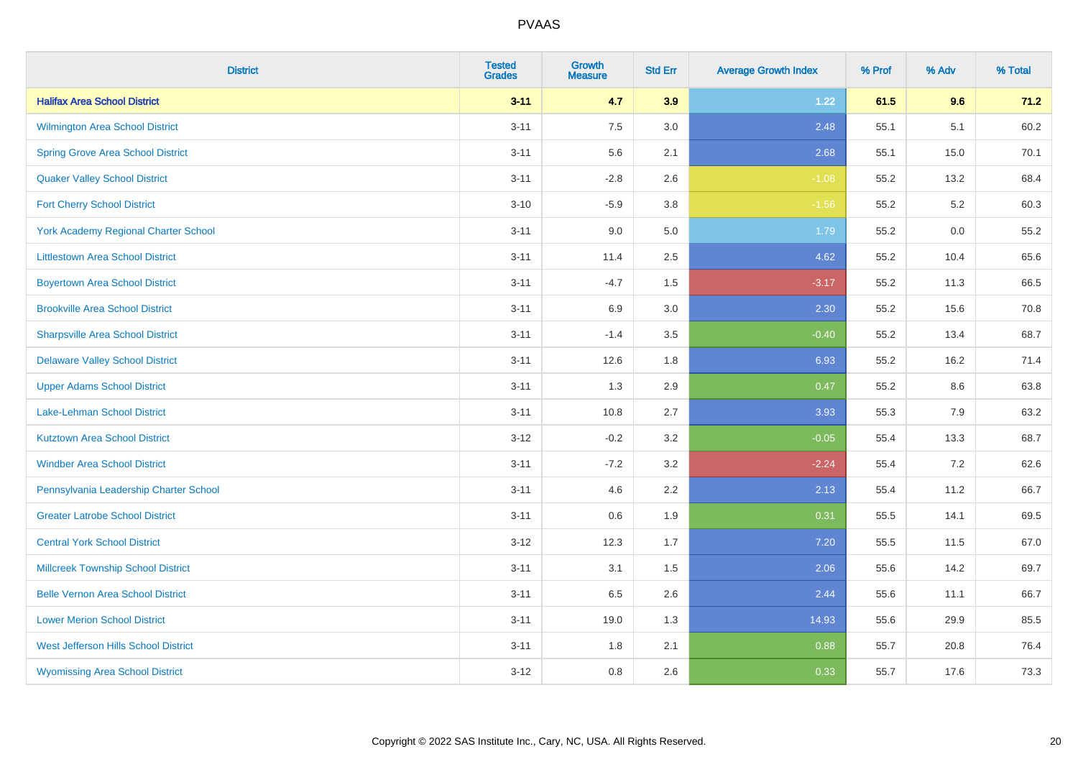| <b>District</b>                             | <b>Tested</b><br><b>Grades</b> | <b>Growth</b><br><b>Measure</b> | <b>Std Err</b> | <b>Average Growth Index</b> | % Prof | % Adv | % Total |
|---------------------------------------------|--------------------------------|---------------------------------|----------------|-----------------------------|--------|-------|---------|
| <b>Halifax Area School District</b>         | $3 - 11$                       | 4.7                             | 3.9            | 1.22                        | 61.5   | 9.6   | 71.2    |
| Wilmington Area School District             | $3 - 11$                       | 7.5                             | 3.0            | 2.48                        | 55.1   | 5.1   | 60.2    |
| <b>Spring Grove Area School District</b>    | $3 - 11$                       | 5.6                             | 2.1            | 2.68                        | 55.1   | 15.0  | 70.1    |
| <b>Quaker Valley School District</b>        | $3 - 11$                       | $-2.8$                          | 2.6            | $-1.08$                     | 55.2   | 13.2  | 68.4    |
| <b>Fort Cherry School District</b>          | $3 - 10$                       | $-5.9$                          | 3.8            | $-1.56$                     | 55.2   | 5.2   | 60.3    |
| <b>York Academy Regional Charter School</b> | $3 - 11$                       | 9.0                             | 5.0            | 1.79                        | 55.2   | 0.0   | 55.2    |
| <b>Littlestown Area School District</b>     | $3 - 11$                       | 11.4                            | 2.5            | 4.62                        | 55.2   | 10.4  | 65.6    |
| <b>Boyertown Area School District</b>       | $3 - 11$                       | $-4.7$                          | 1.5            | $-3.17$                     | 55.2   | 11.3  | 66.5    |
| <b>Brookville Area School District</b>      | $3 - 11$                       | 6.9                             | 3.0            | 2.30                        | 55.2   | 15.6  | 70.8    |
| <b>Sharpsville Area School District</b>     | $3 - 11$                       | $-1.4$                          | 3.5            | $-0.40$                     | 55.2   | 13.4  | 68.7    |
| <b>Delaware Valley School District</b>      | $3 - 11$                       | 12.6                            | 1.8            | 6.93                        | 55.2   | 16.2  | 71.4    |
| <b>Upper Adams School District</b>          | $3 - 11$                       | 1.3                             | 2.9            | 0.47                        | 55.2   | 8.6   | 63.8    |
| Lake-Lehman School District                 | $3 - 11$                       | 10.8                            | 2.7            | 3.93                        | 55.3   | 7.9   | 63.2    |
| <b>Kutztown Area School District</b>        | $3 - 12$                       | $-0.2$                          | 3.2            | $-0.05$                     | 55.4   | 13.3  | 68.7    |
| <b>Windber Area School District</b>         | $3 - 11$                       | $-7.2$                          | 3.2            | $-2.24$                     | 55.4   | 7.2   | 62.6    |
| Pennsylvania Leadership Charter School      | $3 - 11$                       | 4.6                             | 2.2            | 2.13                        | 55.4   | 11.2  | 66.7    |
| <b>Greater Latrobe School District</b>      | $3 - 11$                       | 0.6                             | 1.9            | 0.31                        | 55.5   | 14.1  | 69.5    |
| <b>Central York School District</b>         | $3-12$                         | 12.3                            | 1.7            | 7.20                        | 55.5   | 11.5  | 67.0    |
| <b>Millcreek Township School District</b>   | $3 - 11$                       | 3.1                             | 1.5            | 2.06                        | 55.6   | 14.2  | 69.7    |
| <b>Belle Vernon Area School District</b>    | $3 - 11$                       | 6.5                             | 2.6            | 2.44                        | 55.6   | 11.1  | 66.7    |
| <b>Lower Merion School District</b>         | $3 - 11$                       | 19.0                            | 1.3            | 14.93                       | 55.6   | 29.9  | 85.5    |
| West Jefferson Hills School District        | $3 - 11$                       | 1.8                             | 2.1            | 0.88                        | 55.7   | 20.8  | 76.4    |
| <b>Wyomissing Area School District</b>      | $3 - 12$                       | 0.8                             | 2.6            | 0.33                        | 55.7   | 17.6  | 73.3    |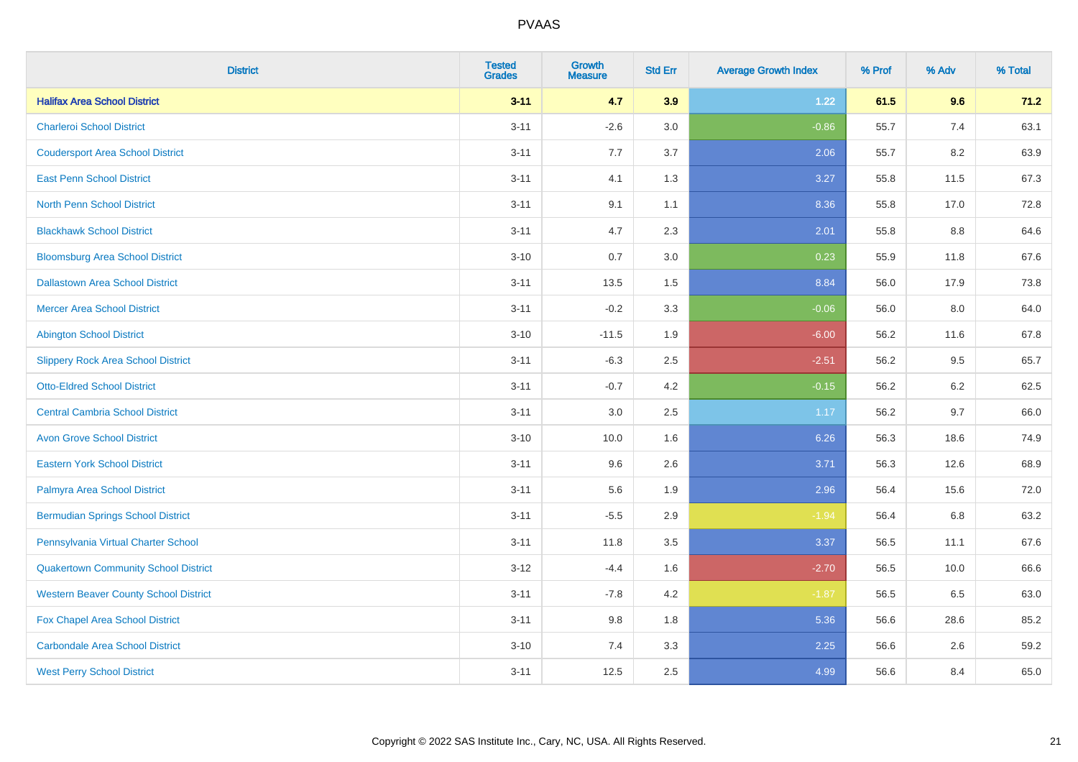| <b>District</b>                              | <b>Tested</b><br><b>Grades</b> | <b>Growth</b><br><b>Measure</b> | <b>Std Err</b> | <b>Average Growth Index</b> | % Prof | % Adv | % Total |
|----------------------------------------------|--------------------------------|---------------------------------|----------------|-----------------------------|--------|-------|---------|
| <b>Halifax Area School District</b>          | $3 - 11$                       | 4.7                             | 3.9            | 1.22                        | 61.5   | 9.6   | 71.2    |
| <b>Charleroi School District</b>             | $3 - 11$                       | $-2.6$                          | 3.0            | $-0.86$                     | 55.7   | 7.4   | 63.1    |
| <b>Coudersport Area School District</b>      | $3 - 11$                       | 7.7                             | 3.7            | 2.06                        | 55.7   | 8.2   | 63.9    |
| <b>East Penn School District</b>             | $3 - 11$                       | 4.1                             | 1.3            | 3.27                        | 55.8   | 11.5  | 67.3    |
| <b>North Penn School District</b>            | $3 - 11$                       | 9.1                             | 1.1            | 8.36                        | 55.8   | 17.0  | 72.8    |
| <b>Blackhawk School District</b>             | $3 - 11$                       | 4.7                             | 2.3            | 2.01                        | 55.8   | 8.8   | 64.6    |
| <b>Bloomsburg Area School District</b>       | $3 - 10$                       | 0.7                             | 3.0            | 0.23                        | 55.9   | 11.8  | 67.6    |
| <b>Dallastown Area School District</b>       | $3 - 11$                       | 13.5                            | 1.5            | 8.84                        | 56.0   | 17.9  | 73.8    |
| <b>Mercer Area School District</b>           | $3 - 11$                       | $-0.2$                          | 3.3            | $-0.06$                     | 56.0   | 8.0   | 64.0    |
| <b>Abington School District</b>              | $3 - 10$                       | $-11.5$                         | 1.9            | $-6.00$                     | 56.2   | 11.6  | 67.8    |
| <b>Slippery Rock Area School District</b>    | $3 - 11$                       | $-6.3$                          | 2.5            | $-2.51$                     | 56.2   | 9.5   | 65.7    |
| <b>Otto-Eldred School District</b>           | $3 - 11$                       | $-0.7$                          | 4.2            | $-0.15$                     | 56.2   | 6.2   | 62.5    |
| <b>Central Cambria School District</b>       | $3 - 11$                       | $3.0\,$                         | 2.5            | 1.17                        | 56.2   | 9.7   | 66.0    |
| <b>Avon Grove School District</b>            | $3 - 10$                       | 10.0                            | 1.6            | 6.26                        | 56.3   | 18.6  | 74.9    |
| <b>Eastern York School District</b>          | $3 - 11$                       | 9.6                             | 2.6            | 3.71                        | 56.3   | 12.6  | 68.9    |
| Palmyra Area School District                 | $3 - 11$                       | 5.6                             | 1.9            | 2.96                        | 56.4   | 15.6  | 72.0    |
| <b>Bermudian Springs School District</b>     | $3 - 11$                       | $-5.5$                          | 2.9            | $-1.94$                     | 56.4   | 6.8   | 63.2    |
| Pennsylvania Virtual Charter School          | $3 - 11$                       | 11.8                            | 3.5            | 3.37                        | 56.5   | 11.1  | 67.6    |
| <b>Quakertown Community School District</b>  | $3 - 12$                       | $-4.4$                          | 1.6            | $-2.70$                     | 56.5   | 10.0  | 66.6    |
| <b>Western Beaver County School District</b> | $3 - 11$                       | $-7.8$                          | 4.2            | $-1.87$                     | 56.5   | 6.5   | 63.0    |
| Fox Chapel Area School District              | $3 - 11$                       | 9.8                             | 1.8            | 5.36                        | 56.6   | 28.6  | 85.2    |
| <b>Carbondale Area School District</b>       | $3 - 10$                       | 7.4                             | 3.3            | 2.25                        | 56.6   | 2.6   | 59.2    |
| <b>West Perry School District</b>            | $3 - 11$                       | 12.5                            | 2.5            | 4.99                        | 56.6   | 8.4   | 65.0    |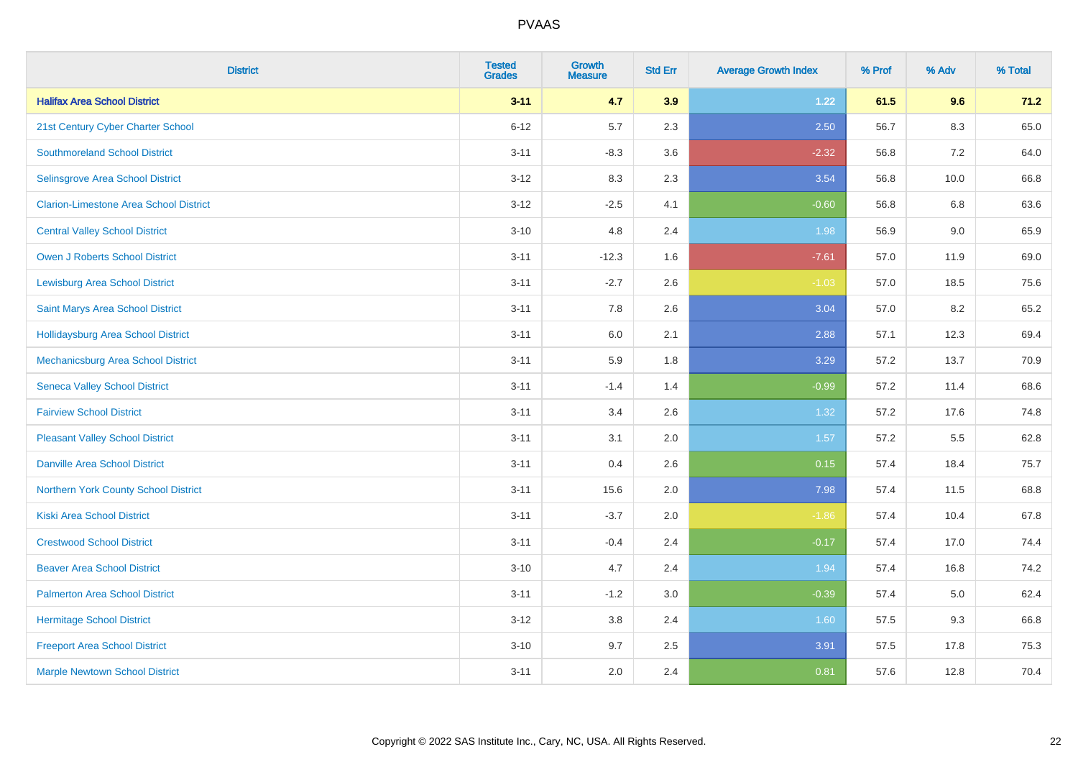| <b>District</b>                               | <b>Tested</b><br><b>Grades</b> | <b>Growth</b><br><b>Measure</b> | <b>Std Err</b> | <b>Average Growth Index</b> | % Prof | % Adv   | % Total |
|-----------------------------------------------|--------------------------------|---------------------------------|----------------|-----------------------------|--------|---------|---------|
| <b>Halifax Area School District</b>           | $3 - 11$                       | 4.7                             | 3.9            | 1.22                        | 61.5   | 9.6     | 71.2    |
| 21st Century Cyber Charter School             | $6 - 12$                       | 5.7                             | 2.3            | 2.50                        | 56.7   | $8.3\,$ | 65.0    |
| <b>Southmoreland School District</b>          | $3 - 11$                       | $-8.3$                          | 3.6            | $-2.32$                     | 56.8   | 7.2     | 64.0    |
| Selinsgrove Area School District              | $3 - 12$                       | 8.3                             | 2.3            | 3.54                        | 56.8   | 10.0    | 66.8    |
| <b>Clarion-Limestone Area School District</b> | $3 - 12$                       | $-2.5$                          | 4.1            | $-0.60$                     | 56.8   | 6.8     | 63.6    |
| <b>Central Valley School District</b>         | $3 - 10$                       | 4.8                             | 2.4            | 1.98                        | 56.9   | 9.0     | 65.9    |
| Owen J Roberts School District                | $3 - 11$                       | $-12.3$                         | 1.6            | $-7.61$                     | 57.0   | 11.9    | 69.0    |
| <b>Lewisburg Area School District</b>         | $3 - 11$                       | $-2.7$                          | 2.6            | $-1.03$                     | 57.0   | 18.5    | 75.6    |
| Saint Marys Area School District              | $3 - 11$                       | 7.8                             | 2.6            | 3.04                        | 57.0   | 8.2     | 65.2    |
| <b>Hollidaysburg Area School District</b>     | $3 - 11$                       | 6.0                             | 2.1            | 2.88                        | 57.1   | 12.3    | 69.4    |
| Mechanicsburg Area School District            | $3 - 11$                       | 5.9                             | 1.8            | 3.29                        | 57.2   | 13.7    | 70.9    |
| <b>Seneca Valley School District</b>          | $3 - 11$                       | $-1.4$                          | 1.4            | $-0.99$                     | 57.2   | 11.4    | 68.6    |
| <b>Fairview School District</b>               | $3 - 11$                       | 3.4                             | 2.6            | 1.32                        | 57.2   | 17.6    | 74.8    |
| <b>Pleasant Valley School District</b>        | $3 - 11$                       | 3.1                             | 2.0            | 1.57                        | 57.2   | 5.5     | 62.8    |
| <b>Danville Area School District</b>          | $3 - 11$                       | 0.4                             | 2.6            | 0.15                        | 57.4   | 18.4    | 75.7    |
| Northern York County School District          | $3 - 11$                       | 15.6                            | 2.0            | 7.98                        | 57.4   | 11.5    | 68.8    |
| <b>Kiski Area School District</b>             | $3 - 11$                       | $-3.7$                          | 2.0            | $-1.86$                     | 57.4   | 10.4    | 67.8    |
| <b>Crestwood School District</b>              | $3 - 11$                       | $-0.4$                          | 2.4            | $-0.17$                     | 57.4   | 17.0    | 74.4    |
| <b>Beaver Area School District</b>            | $3 - 10$                       | 4.7                             | 2.4            | 1.94                        | 57.4   | 16.8    | 74.2    |
| <b>Palmerton Area School District</b>         | $3 - 11$                       | $-1.2$                          | 3.0            | $-0.39$                     | 57.4   | 5.0     | 62.4    |
| <b>Hermitage School District</b>              | $3 - 12$                       | 3.8                             | 2.4            | 1.60                        | 57.5   | 9.3     | 66.8    |
| <b>Freeport Area School District</b>          | $3 - 10$                       | 9.7                             | 2.5            | 3.91                        | 57.5   | 17.8    | 75.3    |
| <b>Marple Newtown School District</b>         | $3 - 11$                       | 2.0                             | 2.4            | 0.81                        | 57.6   | 12.8    | 70.4    |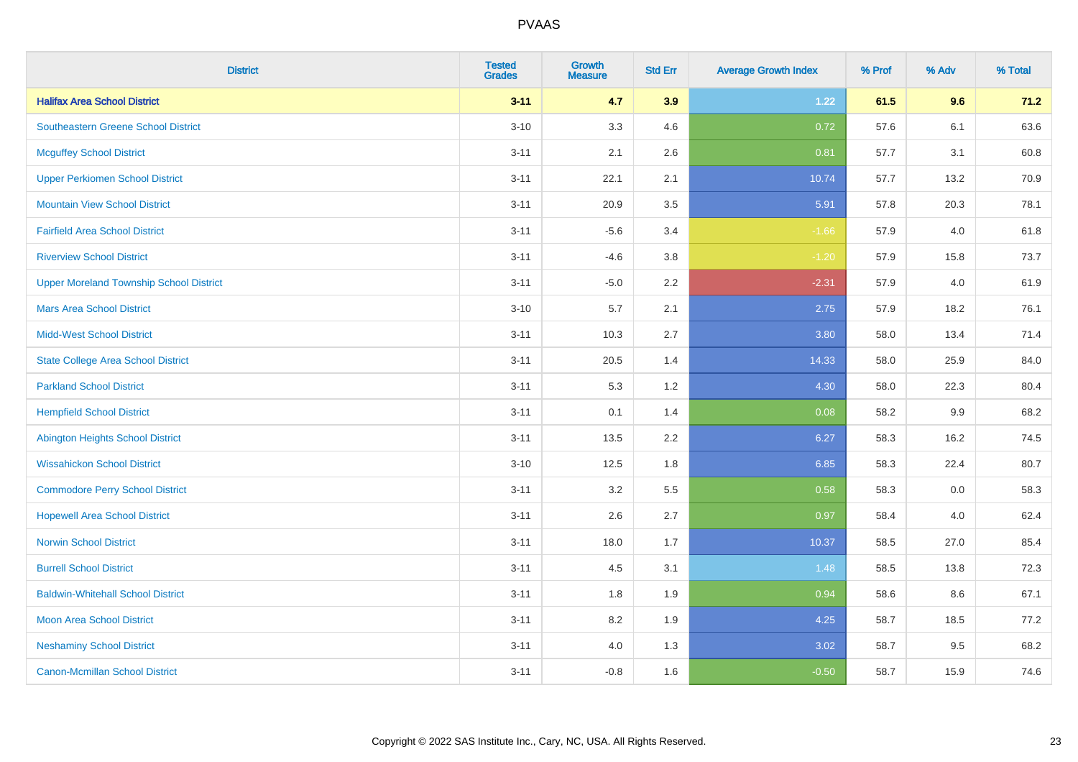| <b>District</b>                                | <b>Tested</b><br><b>Grades</b> | <b>Growth</b><br><b>Measure</b> | <b>Std Err</b> | <b>Average Growth Index</b> | % Prof | % Adv | % Total |
|------------------------------------------------|--------------------------------|---------------------------------|----------------|-----------------------------|--------|-------|---------|
| <b>Halifax Area School District</b>            | $3 - 11$                       | 4.7                             | 3.9            | 1.22                        | 61.5   | 9.6   | 71.2    |
| Southeastern Greene School District            | $3 - 10$                       | 3.3                             | 4.6            | 0.72                        | 57.6   | 6.1   | 63.6    |
| <b>Mcguffey School District</b>                | $3 - 11$                       | 2.1                             | 2.6            | 0.81                        | 57.7   | 3.1   | 60.8    |
| <b>Upper Perkiomen School District</b>         | $3 - 11$                       | 22.1                            | 2.1            | 10.74                       | 57.7   | 13.2  | 70.9    |
| <b>Mountain View School District</b>           | $3 - 11$                       | 20.9                            | 3.5            | 5.91                        | 57.8   | 20.3  | 78.1    |
| <b>Fairfield Area School District</b>          | $3 - 11$                       | $-5.6$                          | 3.4            | $-1.66$                     | 57.9   | 4.0   | 61.8    |
| <b>Riverview School District</b>               | $3 - 11$                       | $-4.6$                          | 3.8            | $-1.20$                     | 57.9   | 15.8  | 73.7    |
| <b>Upper Moreland Township School District</b> | $3 - 11$                       | $-5.0$                          | 2.2            | $-2.31$                     | 57.9   | 4.0   | 61.9    |
| <b>Mars Area School District</b>               | $3 - 10$                       | 5.7                             | 2.1            | 2.75                        | 57.9   | 18.2  | 76.1    |
| <b>Midd-West School District</b>               | $3 - 11$                       | 10.3                            | 2.7            | 3.80                        | 58.0   | 13.4  | 71.4    |
| <b>State College Area School District</b>      | $3 - 11$                       | 20.5                            | 1.4            | 14.33                       | 58.0   | 25.9  | 84.0    |
| <b>Parkland School District</b>                | $3 - 11$                       | 5.3                             | 1.2            | 4.30                        | 58.0   | 22.3  | 80.4    |
| <b>Hempfield School District</b>               | $3 - 11$                       | 0.1                             | 1.4            | 0.08                        | 58.2   | 9.9   | 68.2    |
| <b>Abington Heights School District</b>        | $3 - 11$                       | 13.5                            | 2.2            | 6.27                        | 58.3   | 16.2  | 74.5    |
| <b>Wissahickon School District</b>             | $3 - 10$                       | 12.5                            | 1.8            | 6.85                        | 58.3   | 22.4  | 80.7    |
| <b>Commodore Perry School District</b>         | $3 - 11$                       | 3.2                             | 5.5            | 0.58                        | 58.3   | 0.0   | 58.3    |
| <b>Hopewell Area School District</b>           | $3 - 11$                       | 2.6                             | 2.7            | 0.97                        | 58.4   | 4.0   | 62.4    |
| <b>Norwin School District</b>                  | $3 - 11$                       | 18.0                            | 1.7            | 10.37                       | 58.5   | 27.0  | 85.4    |
| <b>Burrell School District</b>                 | $3 - 11$                       | 4.5                             | 3.1            | 1.48                        | 58.5   | 13.8  | 72.3    |
| <b>Baldwin-Whitehall School District</b>       | $3 - 11$                       | 1.8                             | 1.9            | 0.94                        | 58.6   | 8.6   | 67.1    |
| <b>Moon Area School District</b>               | $3 - 11$                       | 8.2                             | 1.9            | 4.25                        | 58.7   | 18.5  | 77.2    |
| <b>Neshaminy School District</b>               | $3 - 11$                       | 4.0                             | 1.3            | 3.02                        | 58.7   | 9.5   | 68.2    |
| <b>Canon-Mcmillan School District</b>          | $3 - 11$                       | $-0.8$                          | 1.6            | $-0.50$                     | 58.7   | 15.9  | 74.6    |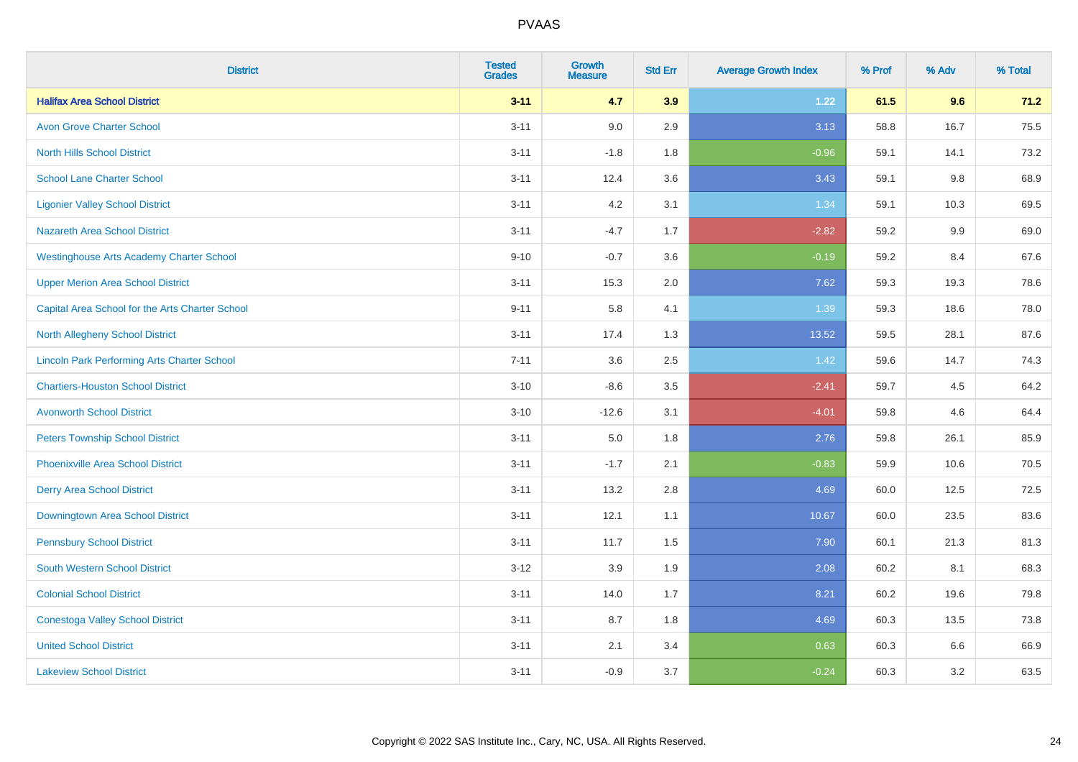| <b>District</b>                                    | <b>Tested</b><br><b>Grades</b> | <b>Growth</b><br><b>Measure</b> | <b>Std Err</b> | <b>Average Growth Index</b> | % Prof | % Adv   | % Total |
|----------------------------------------------------|--------------------------------|---------------------------------|----------------|-----------------------------|--------|---------|---------|
| <b>Halifax Area School District</b>                | $3 - 11$                       | 4.7                             | 3.9            | 1.22                        | 61.5   | 9.6     | 71.2    |
| <b>Avon Grove Charter School</b>                   | $3 - 11$                       | 9.0                             | 2.9            | 3.13                        | 58.8   | 16.7    | 75.5    |
| <b>North Hills School District</b>                 | $3 - 11$                       | $-1.8$                          | 1.8            | $-0.96$                     | 59.1   | 14.1    | 73.2    |
| <b>School Lane Charter School</b>                  | $3 - 11$                       | 12.4                            | 3.6            | 3.43                        | 59.1   | $9.8\,$ | 68.9    |
| <b>Ligonier Valley School District</b>             | $3 - 11$                       | 4.2                             | 3.1            | 1.34                        | 59.1   | 10.3    | 69.5    |
| <b>Nazareth Area School District</b>               | $3 - 11$                       | $-4.7$                          | 1.7            | $-2.82$                     | 59.2   | 9.9     | 69.0    |
| <b>Westinghouse Arts Academy Charter School</b>    | $9 - 10$                       | $-0.7$                          | 3.6            | $-0.19$                     | 59.2   | 8.4     | 67.6    |
| <b>Upper Merion Area School District</b>           | $3 - 11$                       | 15.3                            | 2.0            | 7.62                        | 59.3   | 19.3    | 78.6    |
| Capital Area School for the Arts Charter School    | $9 - 11$                       | 5.8                             | 4.1            | 1.39                        | 59.3   | 18.6    | 78.0    |
| North Allegheny School District                    | $3 - 11$                       | 17.4                            | 1.3            | 13.52                       | 59.5   | 28.1    | 87.6    |
| <b>Lincoln Park Performing Arts Charter School</b> | $7 - 11$                       | 3.6                             | 2.5            | 1.42                        | 59.6   | 14.7    | 74.3    |
| <b>Chartiers-Houston School District</b>           | $3 - 10$                       | $-8.6$                          | 3.5            | $-2.41$                     | 59.7   | 4.5     | 64.2    |
| <b>Avonworth School District</b>                   | $3 - 10$                       | $-12.6$                         | 3.1            | $-4.01$                     | 59.8   | 4.6     | 64.4    |
| <b>Peters Township School District</b>             | $3 - 11$                       | 5.0                             | 1.8            | 2.76                        | 59.8   | 26.1    | 85.9    |
| <b>Phoenixville Area School District</b>           | $3 - 11$                       | $-1.7$                          | 2.1            | $-0.83$                     | 59.9   | 10.6    | 70.5    |
| <b>Derry Area School District</b>                  | $3 - 11$                       | 13.2                            | 2.8            | 4.69                        | 60.0   | 12.5    | 72.5    |
| Downingtown Area School District                   | $3 - 11$                       | 12.1                            | 1.1            | 10.67                       | 60.0   | 23.5    | 83.6    |
| <b>Pennsbury School District</b>                   | $3 - 11$                       | 11.7                            | 1.5            | 7.90                        | 60.1   | 21.3    | 81.3    |
| <b>South Western School District</b>               | $3 - 12$                       | 3.9                             | 1.9            | 2.08                        | 60.2   | 8.1     | 68.3    |
| <b>Colonial School District</b>                    | $3 - 11$                       | 14.0                            | 1.7            | 8.21                        | 60.2   | 19.6    | 79.8    |
| <b>Conestoga Valley School District</b>            | $3 - 11$                       | 8.7                             | 1.8            | 4.69                        | 60.3   | 13.5    | 73.8    |
| <b>United School District</b>                      | $3 - 11$                       | 2.1                             | 3.4            | 0.63                        | 60.3   | 6.6     | 66.9    |
| <b>Lakeview School District</b>                    | $3 - 11$                       | $-0.9$                          | 3.7            | $-0.24$                     | 60.3   | 3.2     | 63.5    |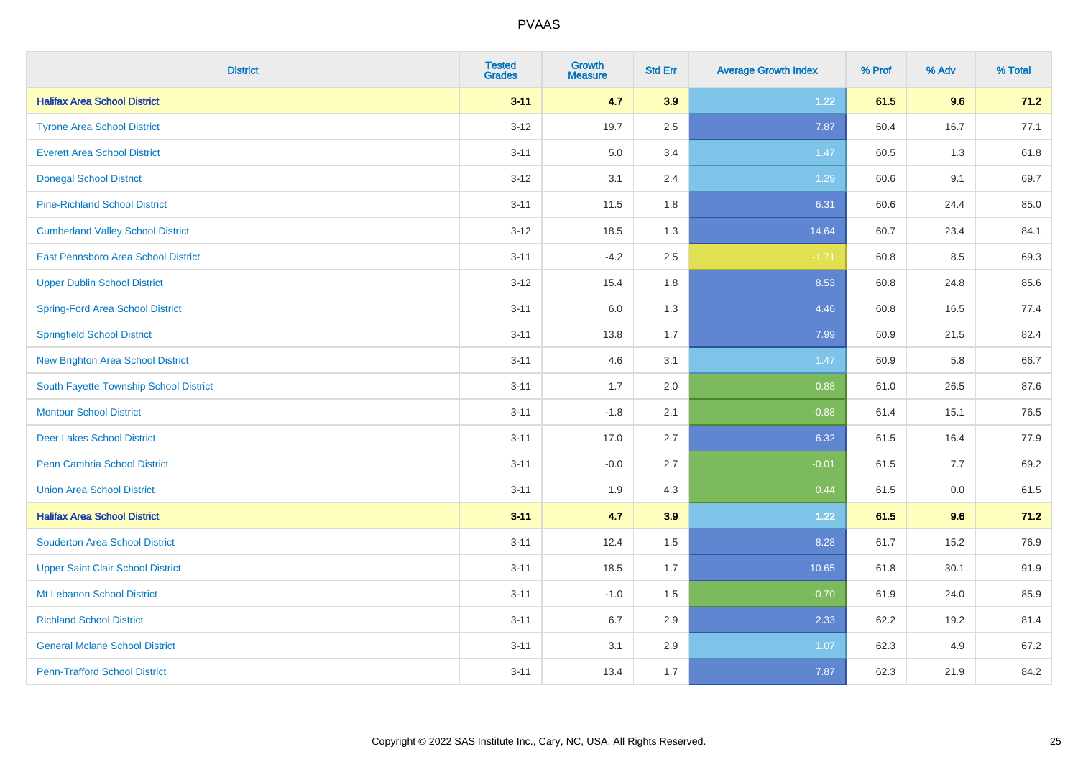| <b>District</b>                          | <b>Tested</b><br><b>Grades</b> | <b>Growth</b><br><b>Measure</b> | <b>Std Err</b> | <b>Average Growth Index</b> | % Prof | % Adv   | % Total |
|------------------------------------------|--------------------------------|---------------------------------|----------------|-----------------------------|--------|---------|---------|
| <b>Halifax Area School District</b>      | $3 - 11$                       | 4.7                             | 3.9            | 1.22                        | 61.5   | 9.6     | 71.2    |
| <b>Tyrone Area School District</b>       | $3 - 12$                       | 19.7                            | 2.5            | 7.87                        | 60.4   | 16.7    | 77.1    |
| <b>Everett Area School District</b>      | $3 - 11$                       | 5.0                             | 3.4            | 1.47                        | 60.5   | 1.3     | 61.8    |
| <b>Donegal School District</b>           | $3 - 12$                       | 3.1                             | 2.4            | 1.29                        | 60.6   | 9.1     | 69.7    |
| <b>Pine-Richland School District</b>     | $3 - 11$                       | 11.5                            | 1.8            | 6.31                        | 60.6   | 24.4    | 85.0    |
| <b>Cumberland Valley School District</b> | $3 - 12$                       | 18.5                            | 1.3            | 14.64                       | 60.7   | 23.4    | 84.1    |
| East Pennsboro Area School District      | $3 - 11$                       | $-4.2$                          | 2.5            | $-1.71$                     | 60.8   | 8.5     | 69.3    |
| <b>Upper Dublin School District</b>      | $3 - 12$                       | 15.4                            | 1.8            | 8.53                        | 60.8   | 24.8    | 85.6    |
| Spring-Ford Area School District         | $3 - 11$                       | 6.0                             | 1.3            | 4.46                        | 60.8   | 16.5    | 77.4    |
| <b>Springfield School District</b>       | $3 - 11$                       | 13.8                            | 1.7            | 7.99                        | 60.9   | 21.5    | 82.4    |
| <b>New Brighton Area School District</b> | $3 - 11$                       | 4.6                             | 3.1            | 1.47                        | 60.9   | 5.8     | 66.7    |
| South Fayette Township School District   | $3 - 11$                       | 1.7                             | 2.0            | 0.88                        | 61.0   | 26.5    | 87.6    |
| <b>Montour School District</b>           | $3 - 11$                       | $-1.8$                          | 2.1            | $-0.88$                     | 61.4   | 15.1    | 76.5    |
| <b>Deer Lakes School District</b>        | $3 - 11$                       | 17.0                            | 2.7            | 6.32                        | 61.5   | 16.4    | 77.9    |
| Penn Cambria School District             | $3 - 11$                       | $-0.0$                          | 2.7            | $-0.01$                     | 61.5   | 7.7     | 69.2    |
| <b>Union Area School District</b>        | $3 - 11$                       | 1.9                             | 4.3            | 0.44                        | 61.5   | $0.0\,$ | 61.5    |
| <b>Halifax Area School District</b>      | $3 - 11$                       | 4.7                             | 3.9            | $1.22$                      | 61.5   | 9.6     | 71.2    |
| <b>Souderton Area School District</b>    | $3 - 11$                       | 12.4                            | 1.5            | 8.28                        | 61.7   | 15.2    | 76.9    |
| <b>Upper Saint Clair School District</b> | $3 - 11$                       | 18.5                            | 1.7            | 10.65                       | 61.8   | 30.1    | 91.9    |
| Mt Lebanon School District               | $3 - 11$                       | $-1.0$                          | 1.5            | $-0.70$                     | 61.9   | 24.0    | 85.9    |
| <b>Richland School District</b>          | $3 - 11$                       | 6.7                             | 2.9            | 2.33                        | 62.2   | 19.2    | 81.4    |
| <b>General Mclane School District</b>    | $3 - 11$                       | 3.1                             | 2.9            | 1.07                        | 62.3   | 4.9     | 67.2    |
| <b>Penn-Trafford School District</b>     | $3 - 11$                       | 13.4                            | 1.7            | 7.87                        | 62.3   | 21.9    | 84.2    |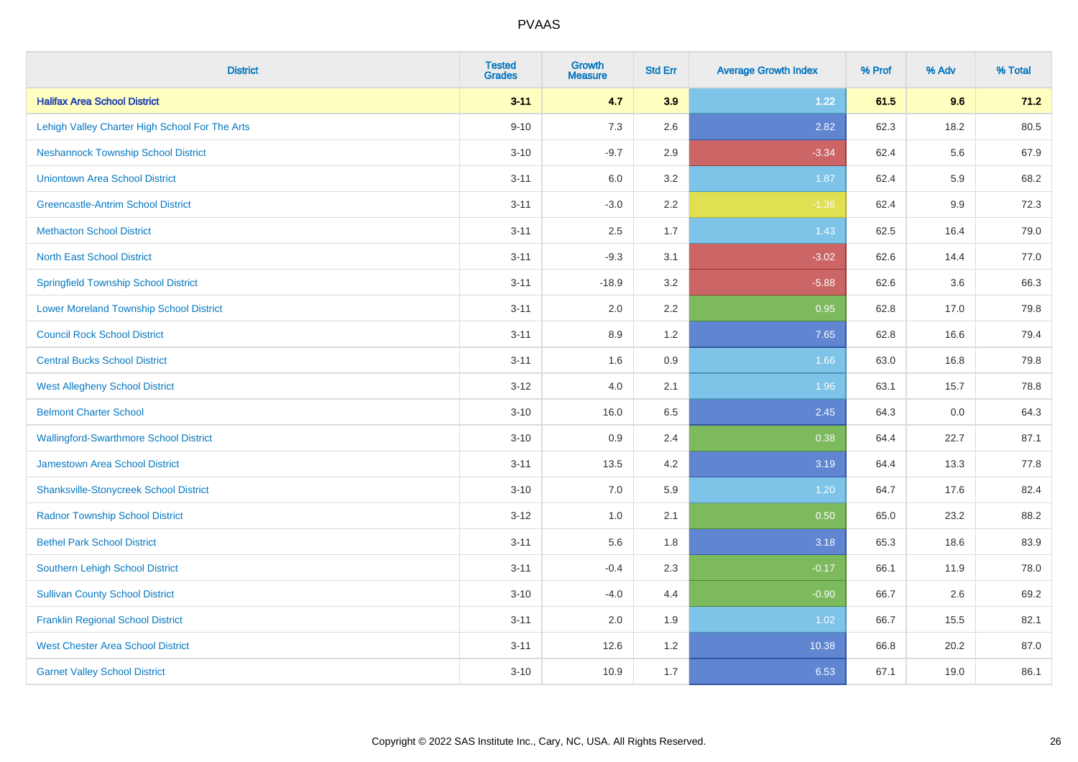| <b>District</b>                                | <b>Tested</b><br><b>Grades</b> | <b>Growth</b><br><b>Measure</b> | <b>Std Err</b> | <b>Average Growth Index</b> | % Prof | % Adv | % Total |
|------------------------------------------------|--------------------------------|---------------------------------|----------------|-----------------------------|--------|-------|---------|
| <b>Halifax Area School District</b>            | $3 - 11$                       | 4.7                             | 3.9            | 1.22                        | 61.5   | 9.6   | 71.2    |
| Lehigh Valley Charter High School For The Arts | $9 - 10$                       | 7.3                             | 2.6            | 2.82                        | 62.3   | 18.2  | 80.5    |
| <b>Neshannock Township School District</b>     | $3 - 10$                       | $-9.7$                          | 2.9            | $-3.34$                     | 62.4   | 5.6   | 67.9    |
| <b>Uniontown Area School District</b>          | $3 - 11$                       | 6.0                             | 3.2            | 1.87                        | 62.4   | 5.9   | 68.2    |
| <b>Greencastle-Antrim School District</b>      | $3 - 11$                       | $-3.0$                          | 2.2            | $-1.36$                     | 62.4   | 9.9   | 72.3    |
| <b>Methacton School District</b>               | $3 - 11$                       | 2.5                             | 1.7            | 1.43                        | 62.5   | 16.4  | 79.0    |
| <b>North East School District</b>              | $3 - 11$                       | $-9.3$                          | 3.1            | $-3.02$                     | 62.6   | 14.4  | 77.0    |
| <b>Springfield Township School District</b>    | $3 - 11$                       | $-18.9$                         | 3.2            | $-5.88$                     | 62.6   | 3.6   | 66.3    |
| <b>Lower Moreland Township School District</b> | $3 - 11$                       | 2.0                             | 2.2            | 0.95                        | 62.8   | 17.0  | 79.8    |
| <b>Council Rock School District</b>            | $3 - 11$                       | 8.9                             | 1.2            | 7.65                        | 62.8   | 16.6  | 79.4    |
| <b>Central Bucks School District</b>           | $3 - 11$                       | 1.6                             | 0.9            | 1.66                        | 63.0   | 16.8  | 79.8    |
| <b>West Allegheny School District</b>          | $3 - 12$                       | 4.0                             | 2.1            | 1.96                        | 63.1   | 15.7  | 78.8    |
| <b>Belmont Charter School</b>                  | $3 - 10$                       | 16.0                            | 6.5            | 2.45                        | 64.3   | 0.0   | 64.3    |
| <b>Wallingford-Swarthmore School District</b>  | $3 - 10$                       | 0.9                             | 2.4            | 0.38                        | 64.4   | 22.7  | 87.1    |
| <b>Jamestown Area School District</b>          | $3 - 11$                       | 13.5                            | 4.2            | 3.19                        | 64.4   | 13.3  | 77.8    |
| <b>Shanksville-Stonycreek School District</b>  | $3 - 10$                       | 7.0                             | 5.9            | 1.20                        | 64.7   | 17.6  | 82.4    |
| <b>Radnor Township School District</b>         | $3 - 12$                       | 1.0                             | 2.1            | 0.50                        | 65.0   | 23.2  | 88.2    |
| <b>Bethel Park School District</b>             | $3 - 11$                       | 5.6                             | 1.8            | 3.18                        | 65.3   | 18.6  | 83.9    |
| Southern Lehigh School District                | $3 - 11$                       | $-0.4$                          | 2.3            | $-0.17$                     | 66.1   | 11.9  | 78.0    |
| <b>Sullivan County School District</b>         | $3 - 10$                       | $-4.0$                          | 4.4            | $-0.90$                     | 66.7   | 2.6   | 69.2    |
| <b>Franklin Regional School District</b>       | $3 - 11$                       | 2.0                             | 1.9            | 1.02                        | 66.7   | 15.5  | 82.1    |
| <b>West Chester Area School District</b>       | $3 - 11$                       | 12.6                            | 1.2            | 10.38                       | 66.8   | 20.2  | 87.0    |
| <b>Garnet Valley School District</b>           | $3 - 10$                       | 10.9                            | 1.7            | 6.53                        | 67.1   | 19.0  | 86.1    |